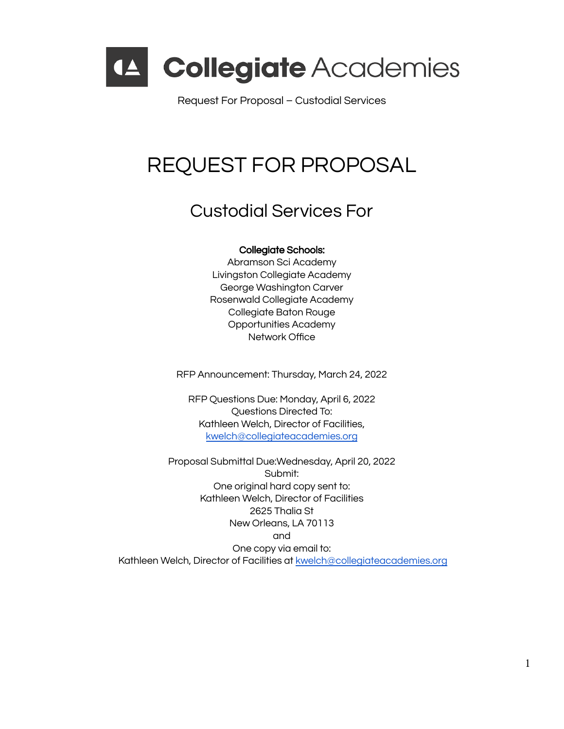

## REQUEST FOR PROPOSAL

## Custodial Services For

## Collegiate Schools:

Abramson Sci Academy Livingston Collegiate Academy George Washington Carver Rosenwald Collegiate Academy Collegiate Baton Rouge Opportunities Academy Network Office

RFP Announcement: Thursday, March 24, 2022

RFP Questions Due: Monday, April 6, 2022 Questions Directed To: Kathleen Welch, Director of Facilities, [kwelch@collegiateacademies.org](mailto:kwelch@collegiateacademies.org)

Proposal Submittal Due:Wednesday, April 20, 2022 Submit: One original hard copy sent to: Kathleen Welch, Director of Facilities 2625 Thalia St New Orleans, LA 70113 and One copy via email to: Kathleen Welch, Director of Facilities at [kwelch@collegiateacademies.org](mailto:kwelch@collegiateacademies.org)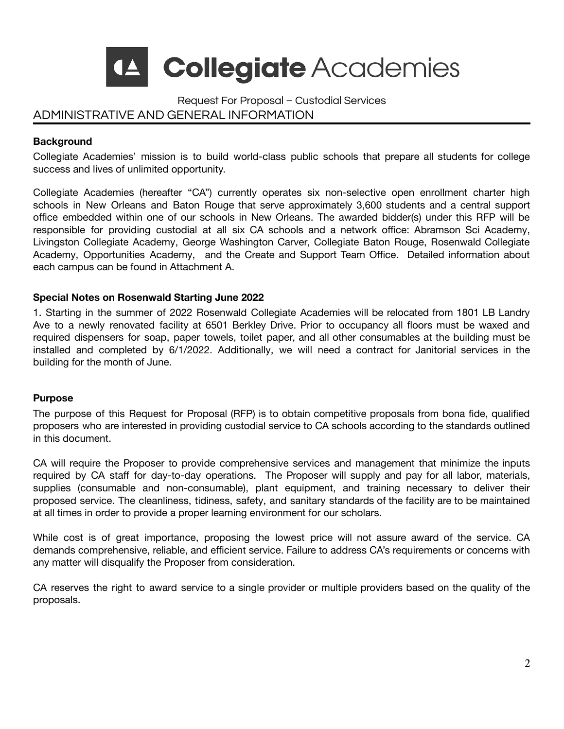## Request For Proposal – Custodial Services ADMINISTRATIVE AND GENERAL INFORMATION

## **Background**

Collegiate Academies' mission is to build world-class public schools that prepare all students for college success and lives of unlimited opportunity.

Collegiate Academies (hereafter "CA") currently operates six non-selective open enrollment charter high schools in New Orleans and Baton Rouge that serve approximately 3,600 students and a central support office embedded within one of our schools in New Orleans. The awarded bidder(s) under this RFP will be responsible for providing custodial at all six CA schools and a network office: Abramson Sci Academy, Livingston Collegiate Academy, George Washington Carver, Collegiate Baton Rouge, Rosenwald Collegiate Academy, Opportunities Academy, and the Create and Support Team Office. Detailed information about each campus can be found in Attachment A.

#### **Special Notes on Rosenwald Starting June 2022**

1. Starting in the summer of 2022 Rosenwald Collegiate Academies will be relocated from 1801 LB Landry Ave to a newly renovated facility at 6501 Berkley Drive. Prior to occupancy all floors must be waxed and required dispensers for soap, paper towels, toilet paper, and all other consumables at the building must be installed and completed by 6/1/2022. Additionally, we will need a contract for Janitorial services in the building for the month of June.

#### **Purpose**

The purpose of this Request for Proposal (RFP) is to obtain competitive proposals from bona fide, qualified proposers who are interested in providing custodial service to CA schools according to the standards outlined in this document.

CA will require the Proposer to provide comprehensive services and management that minimize the inputs required by CA staff for day-to-day operations. The Proposer will supply and pay for all labor, materials, supplies (consumable and non-consumable), plant equipment, and training necessary to deliver their proposed service. The cleanliness, tidiness, safety, and sanitary standards of the facility are to be maintained at all times in order to provide a proper learning environment for our scholars.

While cost is of great importance, proposing the lowest price will not assure award of the service. CA demands comprehensive, reliable, and efficient service. Failure to address CA's requirements or concerns with any matter will disqualify the Proposer from consideration.

CA reserves the right to award service to a single provider or multiple providers based on the quality of the proposals.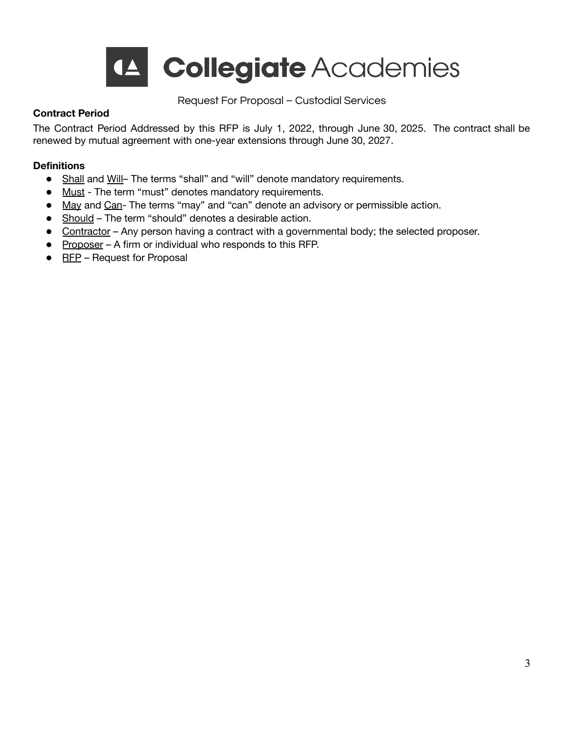

## **Contract Period**

The Contract Period Addressed by this RFP is July 1, 2022, through June 30, 2025. The contract shall be renewed by mutual agreement with one-year extensions through June 30, 2027.

## **Definitions**

- Shall and Will- The terms "shall" and "will" denote mandatory requirements.
- Must The term "must" denotes mandatory requirements.
- May and Can- The terms "may" and "can" denote an advisory or permissible action.
- Should The term "should" denotes a desirable action.
- Contractor Any person having a contract with a governmental body; the selected proposer.
- Proposer A firm or individual who responds to this RFP.
- RFP Request for Proposal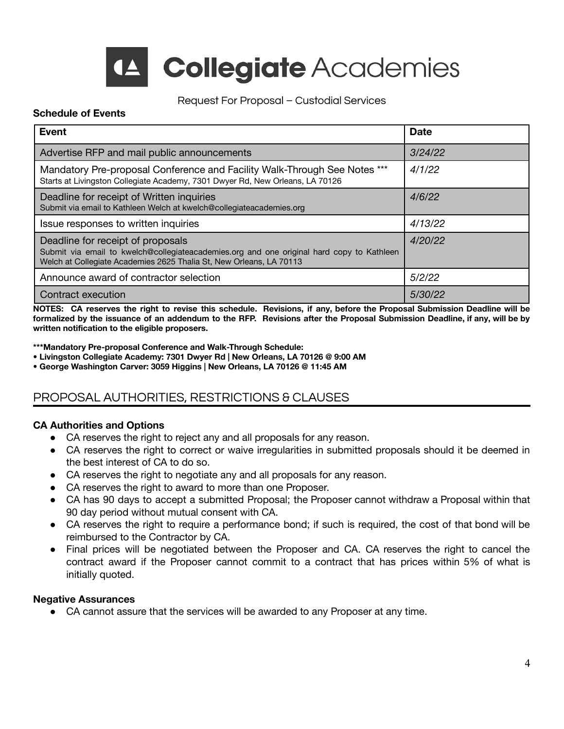## Request For Proposal – Custodial Services

### **Schedule of Events**

| <b>Event</b>                                                                                                                                                                                          | <b>Date</b> |
|-------------------------------------------------------------------------------------------------------------------------------------------------------------------------------------------------------|-------------|
| Advertise RFP and mail public announcements                                                                                                                                                           | 3/24/22     |
| Mandatory Pre-proposal Conference and Facility Walk-Through See Notes ***<br>Starts at Livingston Collegiate Academy, 7301 Dwyer Rd, New Orleans, LA 70126                                            | 4/1/22      |
| Deadline for receipt of Written inquiries<br>Submit via email to Kathleen Welch at kwelch@collegiateacademies.org                                                                                     | 4/6/22      |
| Issue responses to written inquiries                                                                                                                                                                  | 4/13/22     |
| Deadline for receipt of proposals<br>Submit via email to kwelch@collegiateacademies.org and one original hard copy to Kathleen<br>Welch at Collegiate Academies 2625 Thalia St, New Orleans, LA 70113 | 4/20/22     |
| Announce award of contractor selection                                                                                                                                                                | 5/2/22      |
| Contract execution                                                                                                                                                                                    | 5/30/22     |

NOTES: CA reserves the right to revise this schedule. Revisions, if any, before the Proposal Submission Deadline will be formalized by the issuance of an addendum to the RFP. Revisions after the Proposal Submission Deadline, if any, will be by **written notification to the eligible proposers.**

**\*\*\*Mandatory Pre-proposal Conference and Walk-Through Schedule:**

- **Livingston Collegiate Academy: 7301 Dwyer Rd | New Orleans, LA 70126 @ 9:00 AM**
- **George Washington Carver: 3059 Higgins | New Orleans, LA 70126 @ 11:45 AM**

## PROPOSAL AUTHORITIES, RESTRICTIONS & CLAUSES

### **CA Authorities and Options**

- CA reserves the right to reject any and all proposals for any reason.
- CA reserves the right to correct or waive irregularities in submitted proposals should it be deemed in the best interest of CA to do so.
- CA reserves the right to negotiate any and all proposals for any reason.
- CA reserves the right to award to more than one Proposer.
- CA has 90 days to accept a submitted Proposal; the Proposer cannot withdraw a Proposal within that 90 day period without mutual consent with CA.
- CA reserves the right to require a performance bond; if such is required, the cost of that bond will be reimbursed to the Contractor by CA.
- Final prices will be negotiated between the Proposer and CA. CA reserves the right to cancel the contract award if the Proposer cannot commit to a contract that has prices within 5% of what is initially quoted.

#### **Negative Assurances**

● CA cannot assure that the services will be awarded to any Proposer at any time.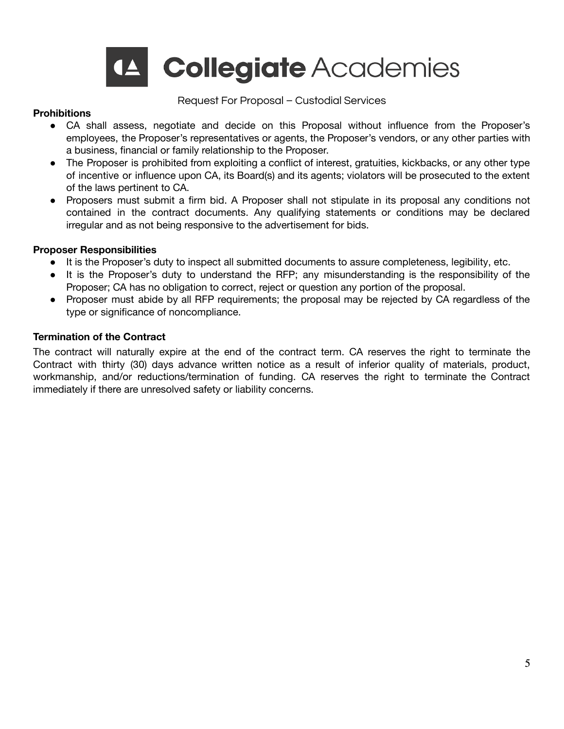

## **Prohibitions**

- CA shall assess, negotiate and decide on this Proposal without influence from the Proposer's employees, the Proposer's representatives or agents, the Proposer's vendors, or any other parties with a business, financial or family relationship to the Proposer.
- The Proposer is prohibited from exploiting a conflict of interest, gratuities, kickbacks, or any other type of incentive or influence upon CA, its Board(s) and its agents; violators will be prosecuted to the extent of the laws pertinent to CA.
- Proposers must submit a firm bid. A Proposer shall not stipulate in its proposal any conditions not contained in the contract documents. Any qualifying statements or conditions may be declared irregular and as not being responsive to the advertisement for bids.

## **Proposer Responsibilities**

- It is the Proposer's duty to inspect all submitted documents to assure completeness, legibility, etc.
- It is the Proposer's duty to understand the RFP; any misunderstanding is the responsibility of the Proposer; CA has no obligation to correct, reject or question any portion of the proposal.
- Proposer must abide by all RFP requirements; the proposal may be rejected by CA regardless of the type or significance of noncompliance.

## **Termination of the Contract**

The contract will naturally expire at the end of the contract term. CA reserves the right to terminate the Contract with thirty (30) days advance written notice as a result of inferior quality of materials, product, workmanship, and/or reductions/termination of funding. CA reserves the right to terminate the Contract immediately if there are unresolved safety or liability concerns.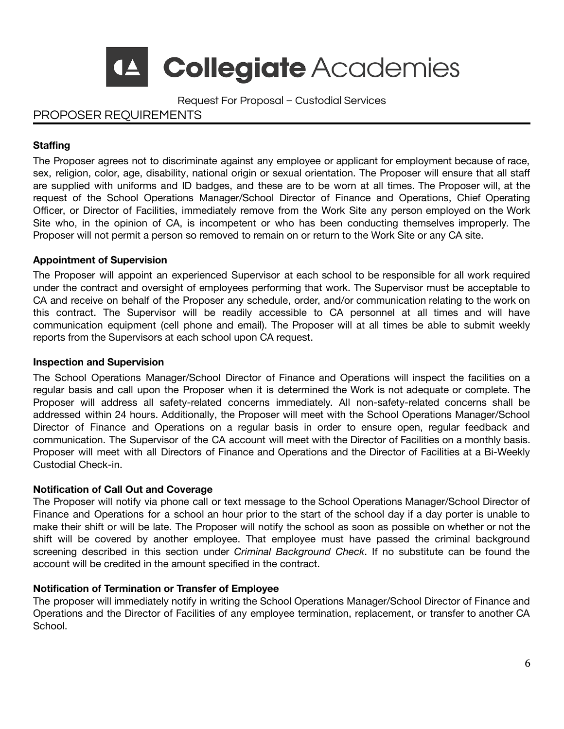Request For Proposal – Custodial Services

## PROPOSER REQUIREMENTS

#### **Staffing**

The Proposer agrees not to discriminate against any employee or applicant for employment because of race, sex, religion, color, age, disability, national origin or sexual orientation. The Proposer will ensure that all staff are supplied with uniforms and ID badges, and these are to be worn at all times. The Proposer will, at the request of the School Operations Manager/School Director of Finance and Operations, Chief Operating Officer, or Director of Facilities, immediately remove from the Work Site any person employed on the Work Site who, in the opinion of CA, is incompetent or who has been conducting themselves improperly. The Proposer will not permit a person so removed to remain on or return to the Work Site or any CA site.

#### **Appointment of Supervision**

The Proposer will appoint an experienced Supervisor at each school to be responsible for all work required under the contract and oversight of employees performing that work. The Supervisor must be acceptable to CA and receive on behalf of the Proposer any schedule, order, and/or communication relating to the work on this contract. The Supervisor will be readily accessible to CA personnel at all times and will have communication equipment (cell phone and email). The Proposer will at all times be able to submit weekly reports from the Supervisors at each school upon CA request.

#### **Inspection and Supervision**

The School Operations Manager/School Director of Finance and Operations will inspect the facilities on a regular basis and call upon the Proposer when it is determined the Work is not adequate or complete. The Proposer will address all safety-related concerns immediately. All non-safety-related concerns shall be addressed within 24 hours. Additionally, the Proposer will meet with the School Operations Manager/School Director of Finance and Operations on a regular basis in order to ensure open, regular feedback and communication. The Supervisor of the CA account will meet with the Director of Facilities on a monthly basis. Proposer will meet with all Directors of Finance and Operations and the Director of Facilities at a Bi-Weekly Custodial Check-in.

### **Notification of Call Out and Coverage**

The Proposer will notify via phone call or text message to the School Operations Manager/School Director of Finance and Operations for a school an hour prior to the start of the school day if a day porter is unable to make their shift or will be late. The Proposer will notify the school as soon as possible on whether or not the shift will be covered by another employee. That employee must have passed the criminal background screening described in this section under *Criminal Background Check*. If no substitute can be found the account will be credited in the amount specified in the contract.

### **Notification of Termination or Transfer of Employee**

The proposer will immediately notify in writing the School Operations Manager/School Director of Finance and Operations and the Director of Facilities of any employee termination, replacement, or transfer to another CA School.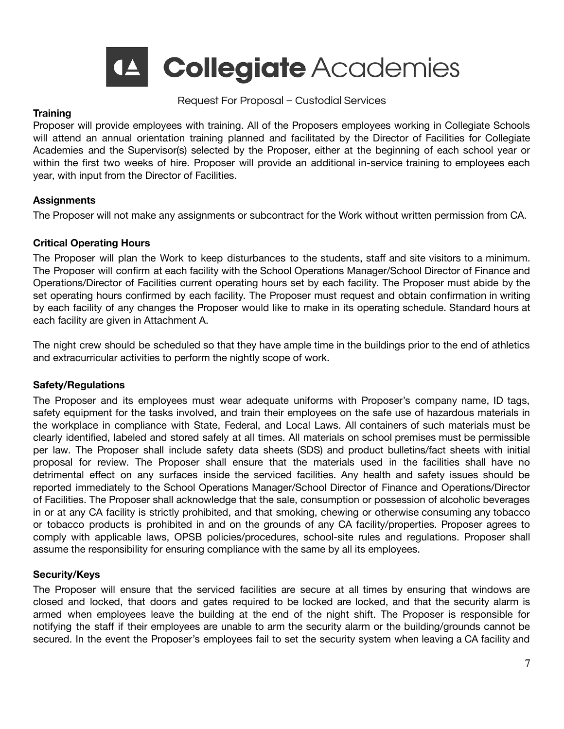

## **Training**

Proposer will provide employees with training. All of the Proposers employees working in Collegiate Schools will attend an annual orientation training planned and facilitated by the Director of Facilities for Collegiate Academies and the Supervisor(s) selected by the Proposer, either at the beginning of each school year or within the first two weeks of hire. Proposer will provide an additional in-service training to employees each year, with input from the Director of Facilities.

## **Assignments**

The Proposer will not make any assignments or subcontract for the Work without written permission from CA.

## **Critical Operating Hours**

The Proposer will plan the Work to keep disturbances to the students, staff and site visitors to a minimum. The Proposer will confirm at each facility with the School Operations Manager/School Director of Finance and Operations/Director of Facilities current operating hours set by each facility. The Proposer must abide by the set operating hours confirmed by each facility. The Proposer must request and obtain confirmation in writing by each facility of any changes the Proposer would like to make in its operating schedule. Standard hours at each facility are given in Attachment A.

The night crew should be scheduled so that they have ample time in the buildings prior to the end of athletics and extracurricular activities to perform the nightly scope of work.

### **Safety/Regulations**

The Proposer and its employees must wear adequate uniforms with Proposer's company name, ID tags, safety equipment for the tasks involved, and train their employees on the safe use of hazardous materials in the workplace in compliance with State, Federal, and Local Laws. All containers of such materials must be clearly identified, labeled and stored safely at all times. All materials on school premises must be permissible per law. The Proposer shall include safety data sheets (SDS) and product bulletins/fact sheets with initial proposal for review. The Proposer shall ensure that the materials used in the facilities shall have no detrimental effect on any surfaces inside the serviced facilities. Any health and safety issues should be reported immediately to the School Operations Manager/School Director of Finance and Operations/Director of Facilities. The Proposer shall acknowledge that the sale, consumption or possession of alcoholic beverages in or at any CA facility is strictly prohibited, and that smoking, chewing or otherwise consuming any tobacco or tobacco products is prohibited in and on the grounds of any CA facility/properties. Proposer agrees to comply with applicable laws, OPSB policies/procedures, school-site rules and regulations. Proposer shall assume the responsibility for ensuring compliance with the same by all its employees.

## **Security/Keys**

The Proposer will ensure that the serviced facilities are secure at all times by ensuring that windows are closed and locked, that doors and gates required to be locked are locked, and that the security alarm is armed when employees leave the building at the end of the night shift. The Proposer is responsible for notifying the staff if their employees are unable to arm the security alarm or the building/grounds cannot be secured. In the event the Proposer's employees fail to set the security system when leaving a CA facility and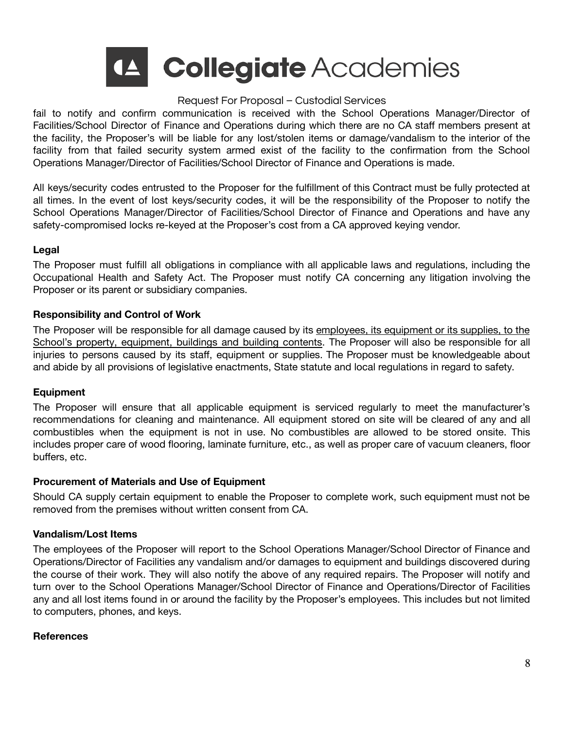## Request For Proposal – Custodial Services

fail to notify and confirm communication is received with the School Operations Manager/Director of Facilities/School Director of Finance and Operations during which there are no CA staff members present at the facility, the Proposer's will be liable for any lost/stolen items or damage/vandalism to the interior of the facility from that failed security system armed exist of the facility to the confirmation from the School Operations Manager/Director of Facilities/School Director of Finance and Operations is made.

All keys/security codes entrusted to the Proposer for the fulfillment of this Contract must be fully protected at all times. In the event of lost keys/security codes, it will be the responsibility of the Proposer to notify the School Operations Manager/Director of Facilities/School Director of Finance and Operations and have any safety-compromised locks re-keyed at the Proposer's cost from a CA approved keying vendor.

## **Legal**

The Proposer must fulfill all obligations in compliance with all applicable laws and regulations, including the Occupational Health and Safety Act. The Proposer must notify CA concerning any litigation involving the Proposer or its parent or subsidiary companies.

## **Responsibility and Control of Work**

The Proposer will be responsible for all damage caused by its employees, its equipment or its supplies, to the School's property, equipment, buildings and building contents. The Proposer will also be responsible for all injuries to persons caused by its staff, equipment or supplies. The Proposer must be knowledgeable about and abide by all provisions of legislative enactments, State statute and local regulations in regard to safety.

### **Equipment**

The Proposer will ensure that all applicable equipment is serviced regularly to meet the manufacturer's recommendations for cleaning and maintenance. All equipment stored on site will be cleared of any and all combustibles when the equipment is not in use. No combustibles are allowed to be stored onsite. This includes proper care of wood flooring, laminate furniture, etc., as well as proper care of vacuum cleaners, floor buffers, etc.

### **Procurement of Materials and Use of Equipment**

Should CA supply certain equipment to enable the Proposer to complete work, such equipment must not be removed from the premises without written consent from CA.

### **Vandalism/Lost Items**

The employees of the Proposer will report to the School Operations Manager/School Director of Finance and Operations/Director of Facilities any vandalism and/or damages to equipment and buildings discovered during the course of their work. They will also notify the above of any required repairs. The Proposer will notify and turn over to the School Operations Manager/School Director of Finance and Operations/Director of Facilities any and all lost items found in or around the facility by the Proposer's employees. This includes but not limited to computers, phones, and keys.

### **References**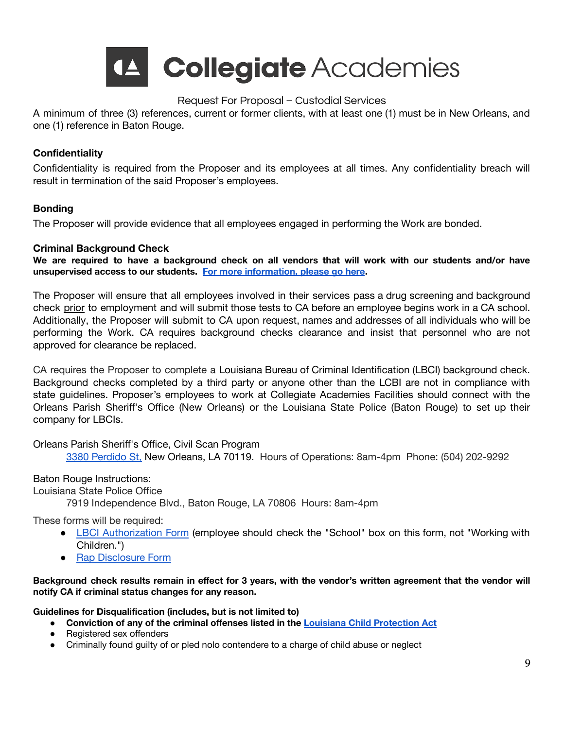## Request For Proposal – Custodial Services

A minimum of three (3) references, current or former clients, with at least one (1) must be in New Orleans, and one (1) reference in Baton Rouge.

## **Confidentiality**

Confidentiality is required from the Proposer and its employees at all times. Any confidentiality breach will result in termination of the said Proposer's employees.

## **Bonding**

The Proposer will provide evidence that all employees engaged in performing the Work are bonded.

### **Criminal Background Check**

We are required to have a background check on all vendors that will work with our students and/or have **unsupervised access to our students. For more [information,](https://www.louisianabelieves.com/docs/default-source/school-choice/faq-background-check.pdf?sfvrsn=d3966418_3#:~:text=15%3A587.1%20%E2%80%9CThe%20Louisiana%20Child,of%20Criminal%20Identification%20and%20Information.&text=Schools%20may%20not%20hire%3A&text=Anyone%20convicted%20of%20or%20pled,a%20crime%20listed%20in%20La.) please go here.**

The Proposer will ensure that all employees involved in their services pass a drug screening and background check prior to employment and will submit those tests to CA before an employee begins work in a CA school. Additionally, the Proposer will submit to CA upon request, names and addresses of all individuals who will be performing the Work. CA requires background checks clearance and insist that personnel who are not approved for clearance be replaced.

CA requires the Proposer to complete a Louisiana Bureau of Criminal Identification (LBCI) background check. Background checks completed by a third party or anyone other than the LCBI are not in compliance with state guidelines. Proposer's employees to work at Collegiate Academies Facilities should connect with the Orleans Parish Sheriff's Office (New Orleans) or the Louisiana State Police (Baton Rouge) to set up their company for LBCIs.

Orleans Parish Sheriff's Office, Civil Scan Program

3380 [Perdido](https://www.google.com/maps?q=3380+perdido+st&rlz=1C1LENP_enUS688US688&ion=1&espv=2&bav=on.2,or.&bvm=bv.136593572,d.amc&biw=1533&bih=736&dpr=1&um=1&ie=UTF-8&sa=X&ved=0ahUKEwid27ivzfTPAhXKx4MKHVZxBKsQ_AUIBigB) St, New Orleans, LA 70119. Hours of Operations: 8am-4pm Phone: (504) 202-9292

Baton Rouge Instructions:

Louisiana State Police Office

7919 Independence Blvd., Baton Rouge, LA 70806 Hours: 8am-4pm

These forms will be required:

- LBCI [Authorization](http://r20.rs6.net/tn.jsp?f=001z2f866sVDYsqhGiYUfdVhf0CASfe2hfAaHvI7YGVLLPg0oz6KrZ52nYVVQnTH3MA9jqTgqy9ecIhnThWMMAZPa5mMLLDAnMBZQ5rB1azi4scW3aUDoJkDWfZgoOz752hEON78Nu-hPTreqDyOIzqbJ6_TSaenuOY22HiZX5czD-oniBVefJPr_ECIibNLUFs3fjC0DE_5LO65lHiUzN8Vg==&c=1GqPftNbnVCqWarHyCHevCFbnBd2tdy6XEMyGQtUiyLz22K9Clhhbg==&ch=jwuxt3ZQyNgU-jE5z8Yv0sIATxUSDIUg8zeOR0pgq4tnomlHHP1UXw==) Form (employee should check the "School" box on this form, not "Working with Children.")
- Rap [Disclosure](http://r20.rs6.net/tn.jsp?f=001z2f866sVDYsqhGiYUfdVhf0CASfe2hfAaHvI7YGVLLPg0oz6KrZ52nYVVQnTH3MA2WHTaSh1c7efOhjOu48Rx2tNF-Uj4weMbiBlFoCDgyZHukUOI_SZKPsD-OJUfWdtvliu6ZEI6jJBjUP9w3BPeZIVaFjRiBor-4awW5LbLyAcVsj9PqTeC4z51CS1XuqgVm7at6RqLV0=&c=1GqPftNbnVCqWarHyCHevCFbnBd2tdy6XEMyGQtUiyLz22K9Clhhbg==&ch=jwuxt3ZQyNgU-jE5z8Yv0sIATxUSDIUg8zeOR0pgq4tnomlHHP1UXw==) Form

#### Background check results remain in effect for 3 years, with the vendor's written agreement that the vendor will **notify CA if criminal status changes for any reason.**

#### **Guidelines for Disqualification (includes, but is not limited to)**

- **● Conviction of any of the criminal offenses listed in the Louisiana Child [Protection](http://legis.la.gov/legis/Law.aspx?d=79264) Act**
- **●** Registered sex offenders
- **●** Criminally found guilty of or pled nolo contendere to a charge of child abuse or neglect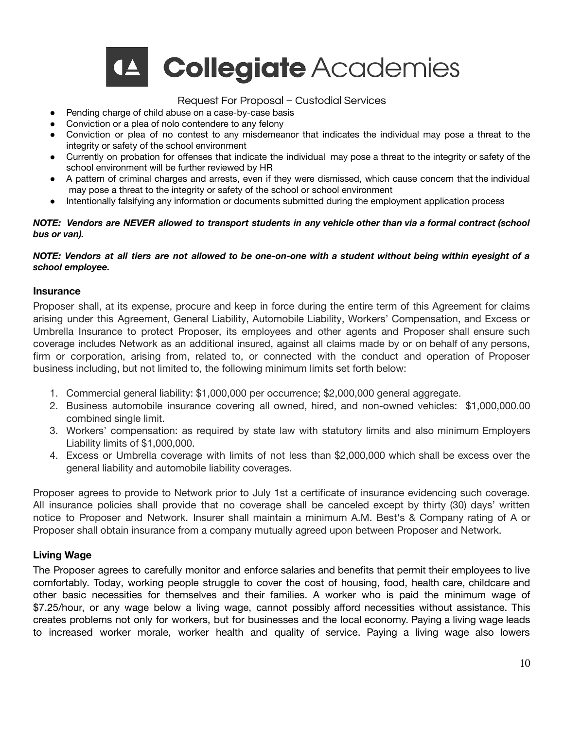

- **●** Pending charge of child abuse on a case-by-case basis
- **●** Conviction or a plea of nolo contendere to any felony
- **●** Conviction or plea of no contest to any misdemeanor that indicates the individual may pose a threat to the integrity or safety of the school environment
- **●** Currently on probation for offenses that indicate the individual may pose a threat to the integrity or safety of the school environment will be further reviewed by HR
- **●** A pattern of criminal charges and arrests, even if they were dismissed, which cause concern that the individual may pose a threat to the integrity or safety of the school or school environment
- **●** Intentionally falsifying any information or documents submitted during the employment application process

#### NOTE: Vendors are NEVER allowed to transport students in any vehicle other than via a formal contract (school *bus or van).*

#### NOTE: Vendors at all tiers are not allowed to be one-on-one with a student without being within eyesight of a *school employee.*

#### **Insurance**

Proposer shall, at its expense, procure and keep in force during the entire term of this Agreement for claims arising under this Agreement, General Liability, Automobile Liability, Workers' Compensation, and Excess or Umbrella Insurance to protect Proposer, its employees and other agents and Proposer shall ensure such coverage includes Network as an additional insured, against all claims made by or on behalf of any persons, firm or corporation, arising from, related to, or connected with the conduct and operation of Proposer business including, but not limited to, the following minimum limits set forth below:

- 1. Commercial general liability: \$1,000,000 per occurrence; \$2,000,000 general aggregate.
- 2. Business automobile insurance covering all owned, hired, and non-owned vehicles: \$1,000,000.00 combined single limit.
- 3. Workers' compensation: as required by state law with statutory limits and also minimum Employers Liability limits of \$1,000,000.
- 4. Excess or Umbrella coverage with limits of not less than \$2,000,000 which shall be excess over the general liability and automobile liability coverages.

Proposer agrees to provide to Network prior to July 1st a certificate of insurance evidencing such coverage. All insurance policies shall provide that no coverage shall be canceled except by thirty (30) days' written notice to Proposer and Network. Insurer shall maintain a minimum A.M. Best's & Company rating of A or Proposer shall obtain insurance from a company mutually agreed upon between Proposer and Network.

### **Living Wage**

The Proposer agrees to carefully monitor and enforce salaries and benefits that permit their employees to live comfortably. Today, working people struggle to cover the cost of housing, food, health care, childcare and other basic necessities for themselves and their families. A worker who is paid the minimum wage of \$7.25/hour, or any wage below a living wage, cannot possibly afford necessities without assistance. This creates problems not only for workers, but for businesses and the local economy. Paying a living wage leads to increased worker morale, worker health and quality of service. Paying a living wage also lowers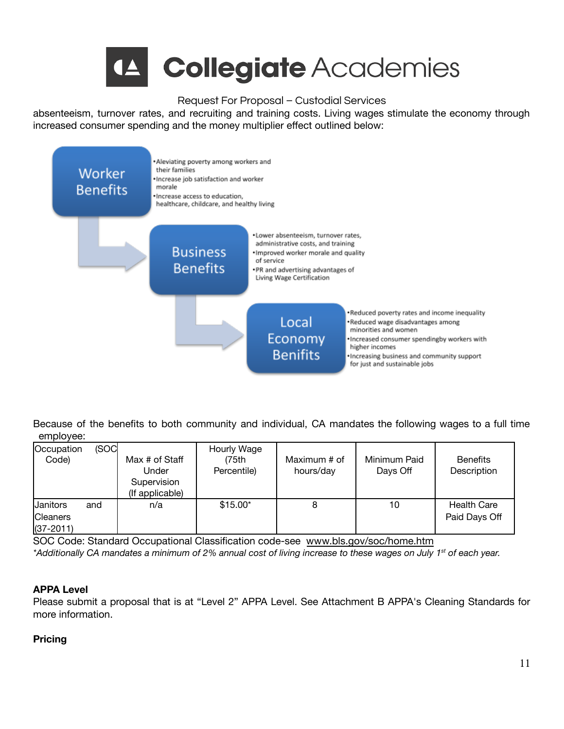## Request For Proposal – Custodial Services

absenteeism, turnover rates, and recruiting and training costs. Living wages stimulate the economy through increased consumer spending and the money multiplier effect outlined below:



Because of the benefits to both community and individual, CA mandates the following wages to a full time employee:

| Occupation<br>Code)                                 | (SOC | Max # of Staff<br>Under<br>Supervision<br>(If applicable) | Hourly Wage<br>(75th<br>Percentile) | Maximum # of<br>hours/day | Minimum Paid<br>Days Off | <b>Benefits</b><br>Description      |
|-----------------------------------------------------|------|-----------------------------------------------------------|-------------------------------------|---------------------------|--------------------------|-------------------------------------|
| <b>Janitors</b><br><b>Cleaners</b><br>$(37 - 2011)$ | and  | n/a                                                       | $$15.00*$                           | 8                         | 10                       | <b>Health Care</b><br>Paid Days Off |

SOC Code: Standard Occupational Classification code-see [www.bls.gov/soc/home.htm](http://www.bls.gov/soc/home.htm) \*Additionally CA mandates a minimum of 2% annual cost of living increase to these wages on July 1<sup>st</sup> of each year.

### **APPA Level**

Please submit a proposal that is at "Level 2" APPA Level. See Attachment B APPA's Cleaning Standards for more information.

## **Pricing**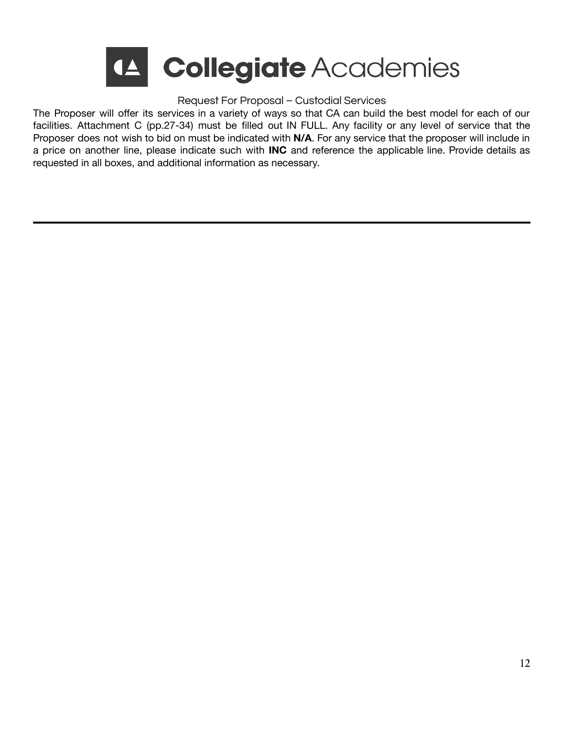## Request For Proposal – Custodial Services

The Proposer will offer its services in a variety of ways so that CA can build the best model for each of our facilities. Attachment C (pp.27-34) must be filled out IN FULL. Any facility or any level of service that the Proposer does not wish to bid on must be indicated with **N/A**. For any service that the proposer will include in a price on another line, please indicate such with **INC** and reference the applicable line. Provide details as requested in all boxes, and additional information as necessary.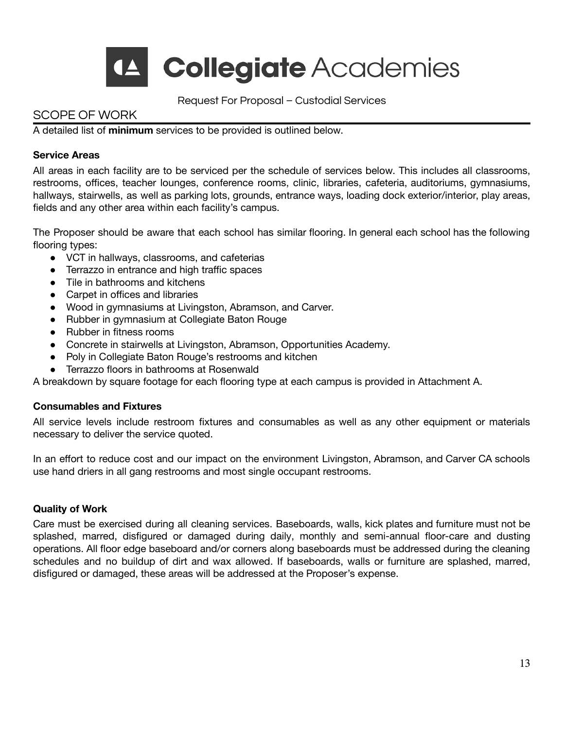

## SCOPE OF WORK

A detailed list of **minimum** services to be provided is outlined below.

## **Service Areas**

All areas in each facility are to be serviced per the schedule of services below. This includes all classrooms, restrooms, offices, teacher lounges, conference rooms, clinic, libraries, cafeteria, auditoriums, gymnasiums, hallways, stairwells, as well as parking lots, grounds, entrance ways, loading dock exterior/interior, play areas, fields and any other area within each facility's campus.

The Proposer should be aware that each school has similar flooring. In general each school has the following flooring types:

- VCT in hallways, classrooms, and cafeterias
- Terrazzo in entrance and high traffic spaces
- Tile in bathrooms and kitchens
- Carpet in offices and libraries
- Wood in gymnasiums at Livingston, Abramson, and Carver.
- Rubber in gymnasium at Collegiate Baton Rouge
- Rubber in fitness rooms
- Concrete in stairwells at Livingston, Abramson, Opportunities Academy.
- Poly in Collegiate Baton Rouge's restrooms and kitchen
- Terrazzo floors in bathrooms at Rosenwald

A breakdown by square footage for each flooring type at each campus is provided in Attachment A.

### **Consumables and Fixtures**

All service levels include restroom fixtures and consumables as well as any other equipment or materials necessary to deliver the service quoted.

In an effort to reduce cost and our impact on the environment Livingston, Abramson, and Carver CA schools use hand driers in all gang restrooms and most single occupant restrooms.

### **Quality of Work**

Care must be exercised during all cleaning services. Baseboards, walls, kick plates and furniture must not be splashed, marred, disfigured or damaged during daily, monthly and semi-annual floor-care and dusting operations. All floor edge baseboard and/or corners along baseboards must be addressed during the cleaning schedules and no buildup of dirt and wax allowed. If baseboards, walls or furniture are splashed, marred, disfigured or damaged, these areas will be addressed at the Proposer's expense.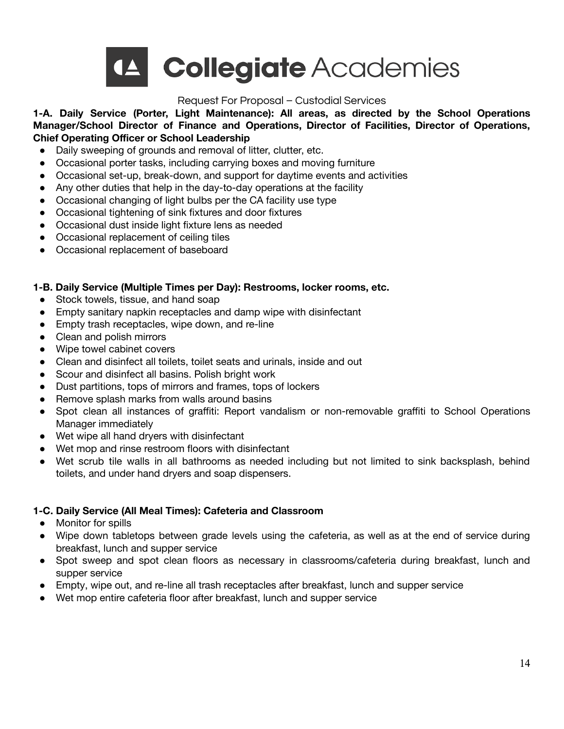## Request For Proposal – Custodial Services

#### **1-A. Daily Service (Porter, Light Maintenance): All areas, as directed by the School Operations Manager/School Director of Finance and Operations, Director of Facilities, Director of Operations, Chief Operating Officer or School Leadership**

- Daily sweeping of grounds and removal of litter, clutter, etc.
- Occasional porter tasks, including carrying boxes and moving furniture
- Occasional set-up, break-down, and support for daytime events and activities
- Any other duties that help in the day-to-day operations at the facility
- Occasional changing of light bulbs per the CA facility use type
- Occasional tightening of sink fixtures and door fixtures
- Occasional dust inside light fixture lens as needed
- Occasional replacement of ceiling tiles
- Occasional replacement of baseboard

## **1-B. Daily Service (Multiple Times per Day): Restrooms, locker rooms, etc.**

- Stock towels, tissue, and hand soap
- Empty sanitary napkin receptacles and damp wipe with disinfectant
- Empty trash receptacles, wipe down, and re-line
- Clean and polish mirrors
- Wipe towel cabinet covers
- Clean and disinfect all toilets, toilet seats and urinals, inside and out
- Scour and disinfect all basins. Polish bright work
- Dust partitions, tops of mirrors and frames, tops of lockers
- Remove splash marks from walls around basins
- Spot clean all instances of graffiti: Report vandalism or non-removable graffiti to School Operations Manager immediately
- Wet wipe all hand dryers with disinfectant
- Wet mop and rinse restroom floors with disinfectant
- Wet scrub tile walls in all bathrooms as needed including but not limited to sink backsplash, behind toilets, and under hand dryers and soap dispensers.

### **1-C. Daily Service (All Meal Times): Cafeteria and Classroom**

- Monitor for spills
- Wipe down tabletops between grade levels using the cafeteria, as well as at the end of service during breakfast, lunch and supper service
- Spot sweep and spot clean floors as necessary in classrooms/cafeteria during breakfast, lunch and supper service
- Empty, wipe out, and re-line all trash receptacles after breakfast, lunch and supper service
- Wet mop entire cafeteria floor after breakfast, lunch and supper service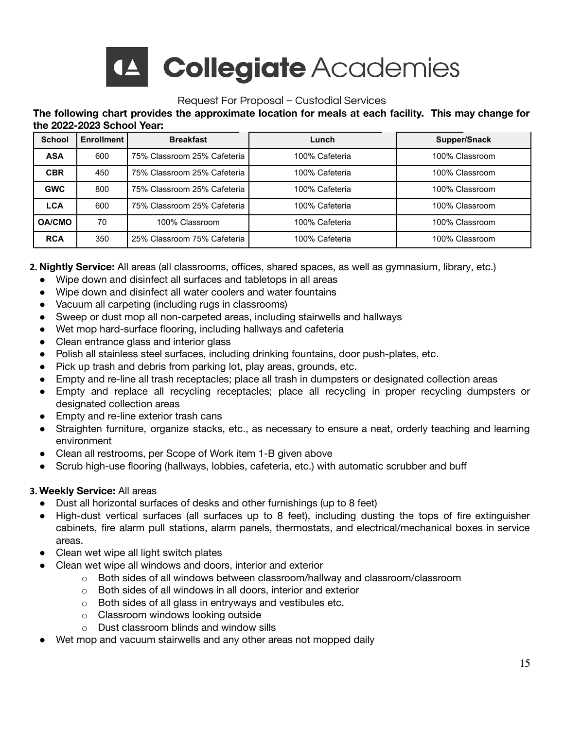#### Request For Proposal – Custodial Services

## **The following chart provides the approximate location for meals at each facility. This may change for the 2022-2023 School Year:**

| <b>School</b> | <b>Enrollment</b> | <b>Breakfast</b>            | Lunch          | Supper/Snack   |
|---------------|-------------------|-----------------------------|----------------|----------------|
| <b>ASA</b>    | 600               | 75% Classroom 25% Cafeteria | 100% Cafeteria | 100% Classroom |
| <b>CBR</b>    | 450               | 75% Classroom 25% Cafeteria | 100% Cafeteria | 100% Classroom |
| <b>GWC</b>    | 800               | 75% Classroom 25% Cafeteria | 100% Cafeteria | 100% Classroom |
| <b>LCA</b>    | 600               | 75% Classroom 25% Cafeteria | 100% Cafeteria | 100% Classroom |
| <b>OA/CMO</b> | 70                | 100% Classroom              | 100% Cafeteria | 100% Classroom |
| <b>RCA</b>    | 350               | 25% Classroom 75% Cafeteria | 100% Cafeteria | 100% Classroom |

**2. Nightly Service:** All areas (all classrooms, offices, shared spaces, as well as gymnasium, library, etc.)

- Wipe down and disinfect all surfaces and tabletops in all areas
- Wipe down and disinfect all water coolers and water fountains
- Vacuum all carpeting (including rugs in classrooms)
- Sweep or dust mop all non-carpeted areas, including stairwells and hallways
- Wet mop hard-surface flooring, including hallways and cafeteria
- Clean entrance glass and interior glass
- Polish all stainless steel surfaces, including drinking fountains, door push-plates, etc.
- Pick up trash and debris from parking lot, play areas, grounds, etc.
- Empty and re-line all trash receptacles; place all trash in dumpsters or designated collection areas
- Empty and replace all recycling receptacles; place all recycling in proper recycling dumpsters or designated collection areas
- Empty and re-line exterior trash cans
- Straighten furniture, organize stacks, etc., as necessary to ensure a neat, orderly teaching and learning environment
- Clean all restrooms, per Scope of Work item 1-B given above
- Scrub high-use flooring (hallways, lobbies, cafeteria, etc.) with automatic scrubber and buff

### **3. Weekly Service:** All areas

- Dust all horizontal surfaces of desks and other furnishings (up to 8 feet)
- High-dust vertical surfaces (all surfaces up to 8 feet), including dusting the tops of fire extinguisher cabinets, fire alarm pull stations, alarm panels, thermostats, and electrical/mechanical boxes in service areas.
- Clean wet wipe all light switch plates
- Clean wet wipe all windows and doors, interior and exterior
	- o Both sides of all windows between classroom/hallway and classroom/classroom
	- o Both sides of all windows in all doors, interior and exterior
	- o Both sides of all glass in entryways and vestibules etc.
	- o Classroom windows looking outside
	- o Dust classroom blinds and window sills
- Wet mop and vacuum stairwells and any other areas not mopped daily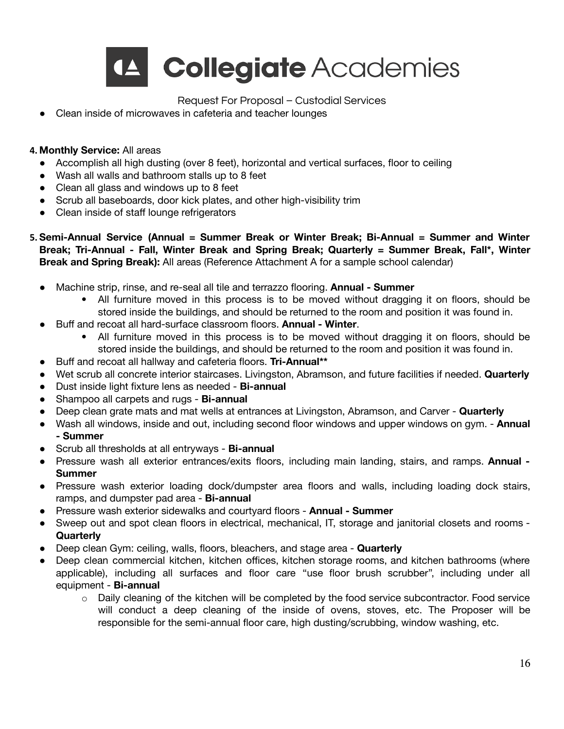

● Clean inside of microwaves in cafeteria and teacher lounges

## **4. Monthly Service:** All areas

- Accomplish all high dusting (over 8 feet), horizontal and vertical surfaces, floor to ceiling
- Wash all walls and bathroom stalls up to 8 feet
- Clean all glass and windows up to 8 feet
- Scrub all baseboards, door kick plates, and other high-visibility trim
- Clean inside of staff lounge refrigerators
- **5. Semi-Annual Service (Annual = Summer Break or Winter Break; Bi-Annual = Summer and Winter Break; Tri-Annual - Fall, Winter Break and Spring Break; Quarterly = Summer Break, Fall\*, Winter Break and Spring Break):** All areas (Reference Attachment A for a sample school calendar)
	- Machine strip, rinse, and re-seal all tile and terrazzo flooring. **Annual - Summer**
		- All furniture moved in this process is to be moved without dragging it on floors, should be stored inside the buildings, and should be returned to the room and position it was found in.
	- Buff and recoat all hard-surface classroom floors. **Annual - Winter**.
		- All furniture moved in this process is to be moved without dragging it on floors, should be stored inside the buildings, and should be returned to the room and position it was found in.
	- Buff and recoat all hallway and cafeteria floors. **Tri-Annual\*\***
	- **●** Wet scrub all concrete interior staircases. Livingston, Abramson, and future facilities if needed. **Quarterly**
	- Dust inside light fixture lens as needed **Bi-annual**
	- Shampoo all carpets and rugs **Bi-annual**
	- Deep clean grate mats and mat wells at entrances at Livingston, Abramson, and Carver **Quarterly**
	- Wash all windows, inside and out, including second floor windows and upper windows on gym. **Annual - Summer**
	- Scrub all thresholds at all entryways **Bi-annual**
	- Pressure wash all exterior entrances/exits floors, including main landing, stairs, and ramps. **Annual - Summer**
	- Pressure wash exterior loading dock/dumpster area floors and walls, including loading dock stairs, ramps, and dumpster pad area - **Bi-annual**
	- Pressure wash exterior sidewalks and courtyard floors **Annual - Summer**
	- Sweep out and spot clean floors in electrical, mechanical, IT, storage and janitorial closets and rooms **Quarterly**
	- Deep clean Gym: ceiling, walls, floors, bleachers, and stage area **Quarterly**
	- Deep clean commercial kitchen, kitchen offices, kitchen storage rooms, and kitchen bathrooms (where applicable), including all surfaces and floor care "use floor brush scrubber", including under all equipment - **Bi-annual**
		- $\circ$  Daily cleaning of the kitchen will be completed by the food service subcontractor. Food service will conduct a deep cleaning of the inside of ovens, stoves, etc. The Proposer will be responsible for the semi-annual floor care, high dusting/scrubbing, window washing, etc.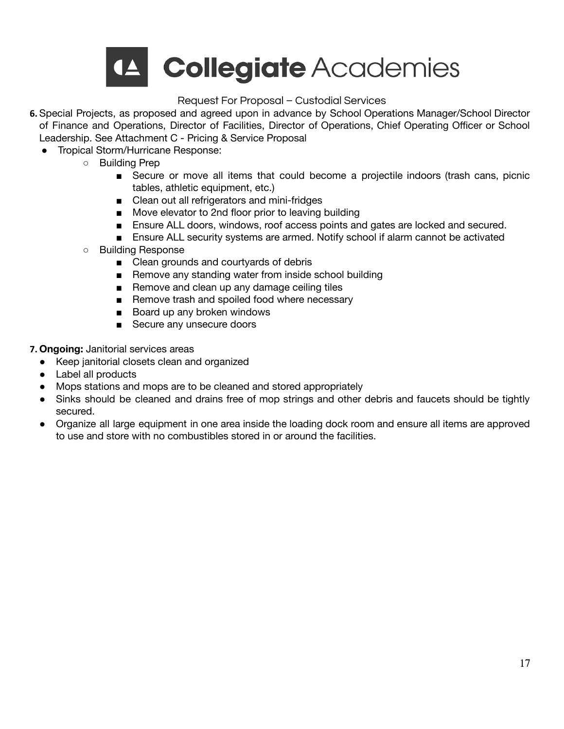## Request For Proposal – Custodial Services

- **6.** Special Projects, as proposed and agreed upon in advance by School Operations Manager/School Director of Finance and Operations, Director of Facilities, Director of Operations, Chief Operating Officer or School Leadership. See Attachment C - Pricing & Service Proposal
	- Tropical Storm/Hurricane Response:
		- Building Prep
			- Secure or move all items that could become a projectile indoors (trash cans, picnic tables, athletic equipment, etc.)
			- Clean out all refrigerators and mini-fridges
			- Move elevator to 2nd floor prior to leaving building
			- Ensure ALL doors, windows, roof access points and gates are locked and secured.
			- Ensure ALL security systems are armed. Notify school if alarm cannot be activated
			- Building Response
				- Clean grounds and courtyards of debris
				- Remove any standing water from inside school building
				- Remove and clean up any damage ceiling tiles
				- Remove trash and spoiled food where necessary
				- Board up any broken windows
				- Secure any unsecure doors
- **7. Ongoing:** Janitorial services areas
	- Keep janitorial closets clean and organized
	- Label all products
	- Mops stations and mops are to be cleaned and stored appropriately
	- Sinks should be cleaned and drains free of mop strings and other debris and faucets should be tightly secured.
	- Organize all large equipment in one area inside the loading dock room and ensure all items are approved to use and store with no combustibles stored in or around the facilities.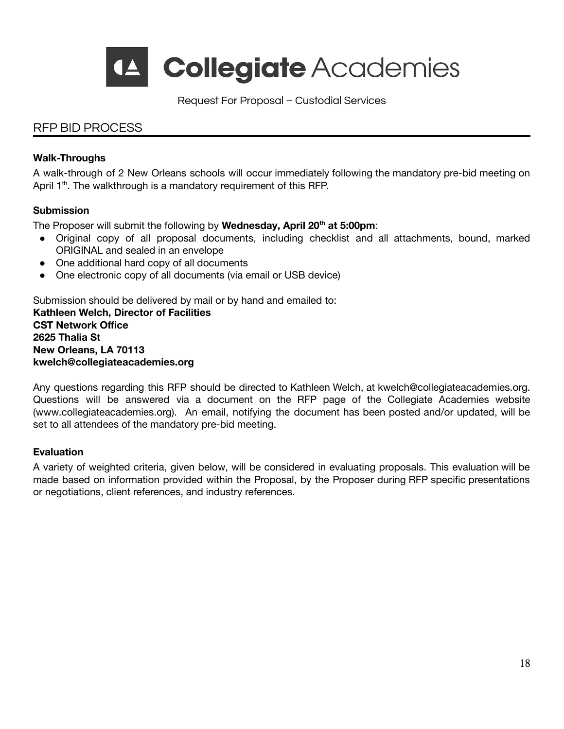Request For Proposal – Custodial Services

## RFP BID PROCESS

## **Walk-Throughs**

A walk-through of 2 New Orleans schools will occur immediately following the mandatory pre-bid meeting on April 1<sup>th</sup>. The walkthrough is a mandatory requirement of this RFP.

## **Submission**

The Proposer will submit the following by **Wednesday, April 20 th at 5:00pm**:

- Original copy of all proposal documents, including checklist and all attachments, bound, marked ORIGINAL and sealed in an envelope
- One additional hard copy of all documents
- One electronic copy of all documents (via email or USB device)

Submission should be delivered by mail or by hand and emailed to: **Kathleen Welch, Director of Facilities CST Network Office 2625 Thalia St New Orleans, LA 70113 kwelch@collegiateacademies.org**

Any questions regarding this RFP should be directed to Kathleen Welch, at kwelch@collegiateacademies.org. Questions will be answered via a document on the RFP page of the Collegiate Academies website (www.collegiateacademies.org). An email, notifying the document has been posted and/or updated, will be set to all attendees of the mandatory pre-bid meeting.

## **Evaluation**

A variety of weighted criteria, given below, will be considered in evaluating proposals. This evaluation will be made based on information provided within the Proposal, by the Proposer during RFP specific presentations or negotiations, client references, and industry references.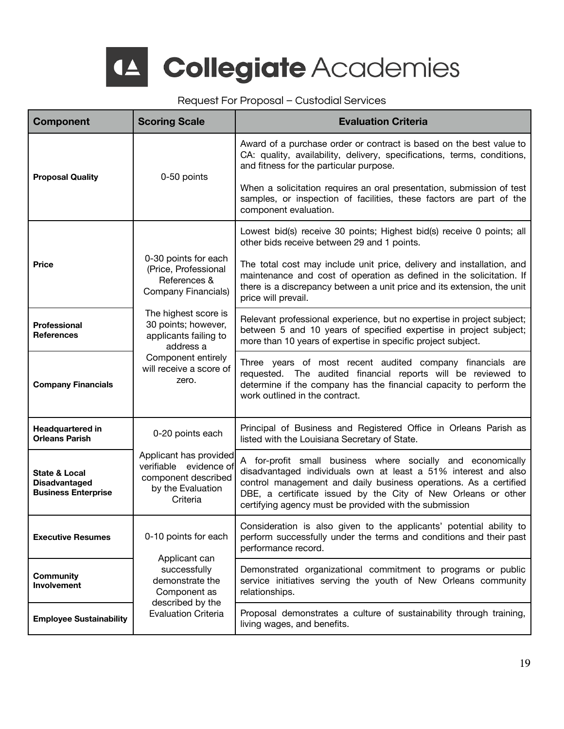## Request For Proposal – Custodial Services

| <b>Component</b>                                                               | <b>Scoring Scale</b>                                                                                     | <b>Evaluation Criteria</b>                                                                                                                                                                                                                                                                                                   |  |  |  |  |  |  |
|--------------------------------------------------------------------------------|----------------------------------------------------------------------------------------------------------|------------------------------------------------------------------------------------------------------------------------------------------------------------------------------------------------------------------------------------------------------------------------------------------------------------------------------|--|--|--|--|--|--|
|                                                                                |                                                                                                          | Award of a purchase order or contract is based on the best value to<br>CA: quality, availability, delivery, specifications, terms, conditions,<br>and fitness for the particular purpose.                                                                                                                                    |  |  |  |  |  |  |
| <b>Proposal Quality</b>                                                        | 0-50 points                                                                                              | When a solicitation requires an oral presentation, submission of test<br>samples, or inspection of facilities, these factors are part of the<br>component evaluation.                                                                                                                                                        |  |  |  |  |  |  |
|                                                                                |                                                                                                          | Lowest bid(s) receive 30 points; Highest bid(s) receive 0 points; all<br>other bids receive between 29 and 1 points.                                                                                                                                                                                                         |  |  |  |  |  |  |
| <b>Price</b>                                                                   | 0-30 points for each<br>(Price, Professional<br>References &<br>Company Financials)                      | The total cost may include unit price, delivery and installation, and<br>maintenance and cost of operation as defined in the solicitation. If<br>there is a discrepancy between a unit price and its extension, the unit<br>price will prevail.                                                                              |  |  |  |  |  |  |
| Professional<br>References                                                     | The highest score is<br>30 points; however,<br>applicants failing to<br>address a                        | Relevant professional experience, but no expertise in project subject;<br>between 5 and 10 years of specified expertise in project subject;<br>more than 10 years of expertise in specific project subject.                                                                                                                  |  |  |  |  |  |  |
| <b>Company Financials</b>                                                      | Component entirely<br>will receive a score of<br>zero.                                                   | Three years of most recent audited company financials are<br>requested. The audited financial reports will be reviewed to<br>determine if the company has the financial capacity to perform the<br>work outlined in the contract.                                                                                            |  |  |  |  |  |  |
| <b>Headquartered in</b><br><b>Orleans Parish</b>                               | 0-20 points each                                                                                         | Principal of Business and Registered Office in Orleans Parish as<br>listed with the Louisiana Secretary of State.                                                                                                                                                                                                            |  |  |  |  |  |  |
| <b>State &amp; Local</b><br><b>Disadvantaged</b><br><b>Business Enterprise</b> | Applicant has provided<br>verifiable evidence of<br>component described<br>by the Evaluation<br>Criteria | A for-profit small business where socially and economically<br>disadvantaged individuals own at least a 51% interest and also<br>control management and daily business operations. As a certified<br>DBE, a certificate issued by the City of New Orleans or other<br>certifying agency must be provided with the submission |  |  |  |  |  |  |
| <b>Executive Resumes</b>                                                       | 0-10 points for each                                                                                     | Consideration is also given to the applicants' potential ability to<br>perform successfully under the terms and conditions and their past<br>performance record.                                                                                                                                                             |  |  |  |  |  |  |
| <b>Community</b><br>Involvement                                                | Applicant can<br>successfully<br>demonstrate the<br>Component as                                         | Demonstrated organizational commitment to programs or public<br>service initiatives serving the youth of New Orleans community<br>relationships.                                                                                                                                                                             |  |  |  |  |  |  |
| <b>Employee Sustainability</b>                                                 | described by the<br><b>Evaluation Criteria</b>                                                           | Proposal demonstrates a culture of sustainability through training,<br>living wages, and benefits.                                                                                                                                                                                                                           |  |  |  |  |  |  |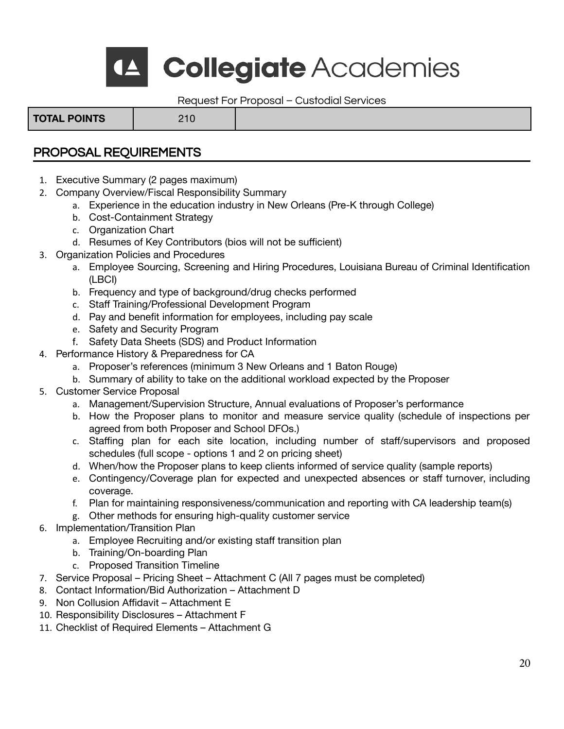Request For Proposal – Custodial Services

**TOTAL POINTS** 210

## PROPOSAL REQUIREMENTS

- 1. Executive Summary (2 pages maximum)
- 2. Company Overview/Fiscal Responsibility Summary
	- a. Experience in the education industry in New Orleans (Pre-K through College)
	- b. Cost-Containment Strategy
	- c. Organization Chart
	- d. Resumes of Key Contributors (bios will not be sufficient)
- 3. Organization Policies and Procedures
	- a. Employee Sourcing, Screening and Hiring Procedures, Louisiana Bureau of Criminal Identification (LBCI)
	- b. Frequency and type of background/drug checks performed
	- c. Staff Training/Professional Development Program
	- d. Pay and benefit information for employees, including pay scale
	- e. Safety and Security Program
	- f. Safety Data Sheets (SDS) and Product Information
- 4. Performance History & Preparedness for CA
	- a. Proposer's references (minimum 3 New Orleans and 1 Baton Rouge)
	- b. Summary of ability to take on the additional workload expected by the Proposer
- 5. Customer Service Proposal
	- a. Management/Supervision Structure, Annual evaluations of Proposer's performance
	- b. How the Proposer plans to monitor and measure service quality (schedule of inspections per agreed from both Proposer and School DFOs.)
	- c. Staffing plan for each site location, including number of staff/supervisors and proposed schedules (full scope - options 1 and 2 on pricing sheet)
	- d. When/how the Proposer plans to keep clients informed of service quality (sample reports)
	- e. Contingency/Coverage plan for expected and unexpected absences or staff turnover, including coverage.
	- f. Plan for maintaining responsiveness/communication and reporting with CA leadership team(s)
	- g. Other methods for ensuring high-quality customer service
- 6. Implementation/Transition Plan
	- a. Employee Recruiting and/or existing staff transition plan
	- b. Training/On-boarding Plan
	- c. Proposed Transition Timeline
- 7. Service Proposal Pricing Sheet Attachment C (All 7 pages must be completed)
- 8. Contact Information/Bid Authorization Attachment D
- 9. Non Collusion Affidavit Attachment E
- 10. Responsibility Disclosures Attachment F
- 11. Checklist of Required Elements Attachment G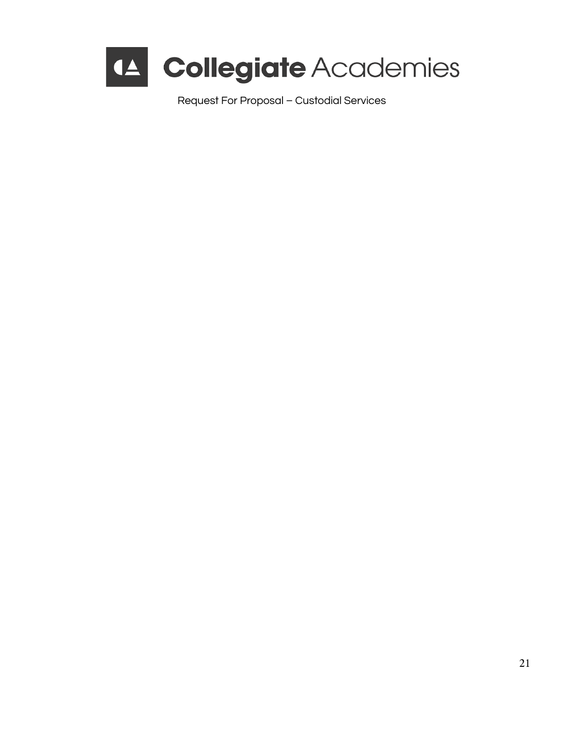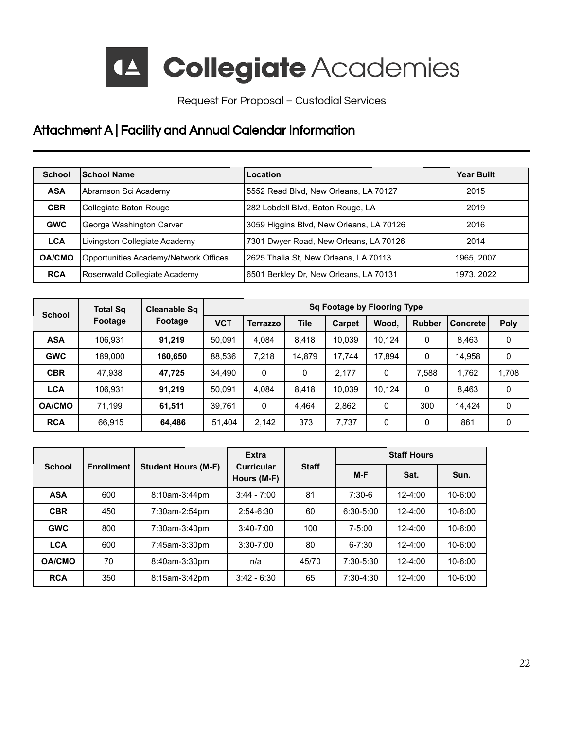Request For Proposal – Custodial Services

## Attachment A | Facility and Annual Calendar Information

| <b>School</b> | <b>ISchool Name</b>                   | Location                                 | <b>Year Built</b> |
|---------------|---------------------------------------|------------------------------------------|-------------------|
| <b>ASA</b>    | Abramson Sci Academy                  | 5552 Read Blvd, New Orleans, LA 70127    | 2015              |
| <b>CBR</b>    | Collegiate Baton Rouge                | 282 Lobdell Blvd, Baton Rouge, LA        | 2019              |
| <b>GWC</b>    | George Washington Carver              | 3059 Higgins Blvd, New Orleans, LA 70126 | 2016              |
| <b>LCA</b>    | Livingston Collegiate Academy         | 7301 Dwyer Road, New Orleans, LA 70126   | 2014              |
| <b>OA/CMO</b> | Opportunities Academy/Network Offices | 2625 Thalia St, New Orleans, LA 70113    | 1965.2007         |
| <b>RCA</b>    | Rosenwald Collegiate Academy          | 6501 Berkley Dr, New Orleans, LA 70131   | 1973, 2022        |

| <b>School</b> | <b>Total Sq</b> | Cleanable Sq | Sq Footage by Flooring Type |              |        |               |             |               |             |       |  |
|---------------|-----------------|--------------|-----------------------------|--------------|--------|---------------|-------------|---------------|-------------|-------|--|
|               | Footage         | Footage      | <b>VCT</b>                  | Terrazzo     | Tile   | <b>Carpet</b> | Wood,       | <b>Rubber</b> | ⊺Concrete l | Poly  |  |
| <b>ASA</b>    | 106.931         | 91.219       | 50.091                      | 4,084        | 8.418  | 10.039        | 10.124      | 0             | 8,463       | 0     |  |
| <b>GWC</b>    | 189,000         | 160,650      | 88,536                      | 7.218        | 14.879 | 17.744        | 17.894      | 0             | 14,958      | 0     |  |
| <b>CBR</b>    | 47,938          | 47,725       | 34.490                      | $\Omega$     | 0      | 2.177         | 0           | 7,588         | 1.762       | 1,708 |  |
| <b>LCA</b>    | 106.931         | 91.219       | 50.091                      | 4.084        | 8.418  | 10.039        | 10.124      | 0             | 8,463       | 0     |  |
| <b>OA/CMO</b> | 71,199          | 61,511       | 39,761                      | $\mathbf{0}$ | 4,464  | 2,862         | $\mathbf 0$ | 300           | 14,424      | 0     |  |
| <b>RCA</b>    | 66,915          | 64,486       | 51,404                      | 2,142        | 373    | 7.737         | $\mathbf 0$ | 0             | 861         | 0     |  |

|               |                   |                            | <b>Extra</b>                     |              | <b>Staff Hours</b> |             |             |  |  |
|---------------|-------------------|----------------------------|----------------------------------|--------------|--------------------|-------------|-------------|--|--|
| <b>School</b> | <b>Enrollment</b> | <b>Student Hours (M-F)</b> | <b>Curricular</b><br>Hours (M-F) | <b>Staff</b> | M-F                | Sat.        | Sun.        |  |  |
| <b>ASA</b>    | 600               | 8:10am-3:44pm              | $3:44 - 7:00$                    | 81           | $7:30-6$           | $12 - 4:00$ | $10 - 6:00$ |  |  |
| <b>CBR</b>    | 450               | 7:30am-2:54pm              | $2:54-6:30$                      | 60           | $6:30 - 5:00$      | $12 - 4:00$ | $10 - 6:00$ |  |  |
| <b>GWC</b>    | 800               | 7:30am-3:40pm              | $3:40 - 7:00$                    | 100          | $7 - 5:00$         | $12 - 4:00$ | $10 - 6:00$ |  |  |
| <b>LCA</b>    | 600               | 7:45am-3:30pm              | $3:30 - 7:00$                    | 80           | $6 - 7:30$         | $12 - 4:00$ | $10 - 6:00$ |  |  |
| <b>OA/CMO</b> | 70                | 8:40am-3:30pm              | n/a                              | 45/70        | 7:30-5:30          | $12 - 4:00$ | $10 - 6:00$ |  |  |
| <b>RCA</b>    | 350               | 8:15am-3:42pm              | $3:42 - 6:30$                    | 65           | $7:30-4:30$        | $12 - 4:00$ | 10-6:00     |  |  |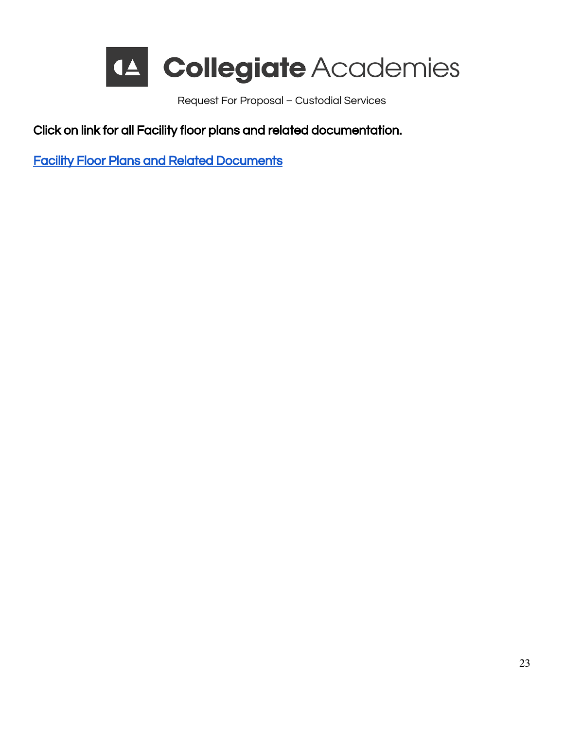

Click on link for all Facility floor plans and related documentation.

Facility Floor Plans and Related [Documents](https://drive.google.com/drive/folders/1xW9rOV18zR4wowhVLTSfPO5p3tQS12nc)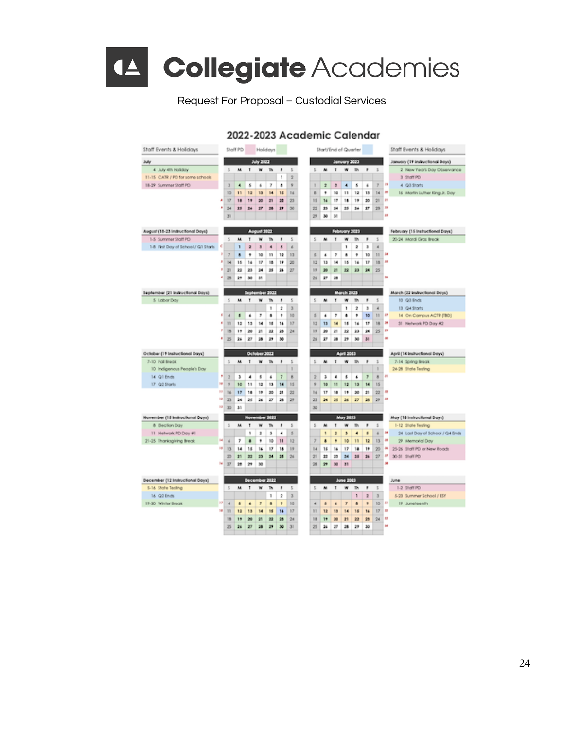## Request For Proposal – Custodial Services

| Staff Events & Holidays            |    |                 | Staff PD       |                |               | Holidays       |                |                         |                |                 | Start/End of Quarter     |                   |                |                 |                |                 | Staff Events & Holidays          |
|------------------------------------|----|-----------------|----------------|----------------|---------------|----------------|----------------|-------------------------|----------------|-----------------|--------------------------|-------------------|----------------|-----------------|----------------|-----------------|----------------------------------|
| July                               |    |                 |                |                | July 2022     |                |                |                         |                |                 |                          | January 2023      |                |                 |                |                 | January (19 Instructional Days)  |
| 4 July 4th Holiday                 |    | s               | M.             | ٠              | w             | $\mathbf{B}$   | ٠              | s                       | s              | M               | Ŧ                        | w                 | $\blacksquare$ | $\mathbf{r}$    | $\frac{3}{2}$  |                 | 2 New Year's Day Observance      |
| 11-15 CATR / PD for some schools   |    |                 |                |                |               |                | N.             | ż                       |                |                 |                          |                   |                |                 |                |                 | 3 Stoff PD                       |
| 18-29 Summer Staff PD              |    | 3               | ۸              | s              | ٨             | <b>y</b>       | ٠              | Ÿ                       | п              | ÷               | з                        | ٠                 | s              | ٠               | y              | m               | 4 G3 Starts                      |
|                                    |    | 10              | m              | 12             | 13            | 14             | 15             | 16                      | B              | ٠               | 10                       | n                 | ĩž             | 13              | 14             | m               | 16 Martin Luther King Jr. Day    |
|                                    |    | 17              | 18             | 19             | 30            | 21             | 22             | 23                      | 15             | 14              | 17                       | u                 | 19             | 20              | 21             | m               |                                  |
|                                    | ٠  | 24              | 25             | 24             | 27            | 28             | 29             | 30                      | 22             | 23              | 24                       | 25                | 24             | 27              | 28             | 29              |                                  |
|                                    |    | 31              |                |                |               |                |                |                         | 29             | 30              | 31                       |                   |                |                 |                | 23              |                                  |
| August (18-23 Instructional Days)  |    |                 |                |                | August 2022   |                |                |                         |                |                 |                          | February 2023     |                |                 |                |                 | February (15 Instructional Days) |
| 1-5 Summer Staff PD                |    | 5               |                | Ŧ              | w             | <b>Th</b>      | F              | 5                       | 5              | M               | Ŧ                        | w                 | <b>Th</b>      | ,               | 5              |                 | 20-24 Mondi Gras Break           |
| 1-8 Find Day of School / G1 Starts | ë  |                 | ×              | $\overline{z}$ | э             | ٠              | s              | ă                       |                |                 |                          | Ĩ.                | ž              | a.              | $\overline{4}$ |                 |                                  |
|                                    |    | $\overline{z}$  | $\blacksquare$ | ÷              | w             | m              | 12             | 13                      | ×              | ٠               | z                        | ٠                 | ÷              | 10              | $\mathbb{I}$   | M               |                                  |
|                                    | ä  | 14              | 15             | 14             | 17            | 18             | 19             | $^{20}$                 | 12             | 13              | $^{14}$                  | 15                | 14             | 17              | 18             | ж               |                                  |
|                                    | з  | 21              | z              | z,             | 24            | 2d             | 24             | 27                      | 19             | 20 <sub>1</sub> | ž1                       | 22                | 23             | $\overline{24}$ | 25             |                 |                                  |
|                                    | ٠  | 28              | 29             | 30             | 31            |                |                |                         | 26             | 27              | 28                       |                   |                |                 |                | $\mathbb{R}$    |                                  |
| September (21 Instructional Days)  |    |                 |                | Septe          |               | nber 2011      |                |                         |                |                 |                          | March 2023        |                |                 |                |                 | March (22 Indirectional Days)    |
| 5 Labor Day                        |    | 5               | M              | Ŧ              | w             | <b>Th</b>      | F              | 5                       | 5              | M               | Ŧ                        | w                 | m              | ,               | 5              |                 | 10 Q3 linds                      |
|                                    |    |                 |                |                |               | ĩ              | ž              | 3                       |                |                 |                          | Ŧ                 | ž              | 3               | 4              |                 | 13 G4 Starts                     |
|                                    | s  | $\overline{4}$  | s              | ٠              | ,             | ٠              | ٠              | 10                      | s              | ٠               | ,                        | ٠                 | ٠              | 10              | m              | ø               | 14 On Comput ACTF (TBD)          |
|                                    | ä  | 11              | 12             | 13             | 14            | 16             | 14             | 17                      | 12             | 13              | 14                       | 15                | 14             | 17              | 18             | æ               | 31 Network PD Day #2             |
|                                    | 3  | 18              | 19             | 20             | 21            | 22             | 23             | 24                      | 19             | 20              | 21                       | 22                | 23             | 24              | 25             | 24              |                                  |
|                                    | ٠  | 25              | 24             | 27             | 28            | 29             | 30             |                         | 54             | 22              | 28                       | 28                | 30             | 21              |                | ×               |                                  |
| October (19 Instructional Days)    |    |                 |                |                | October 2022  |                |                |                         |                |                 |                          | <b>April 2023</b> |                |                 |                |                 | April (14 Instructional Days)    |
| 7-10 Foll leagh                    |    | 5               | M              | ٠              | w             | <b>Th</b>      | ×              | $\overline{\mathbf{S}}$ | s              | M               | Ŧ                        | w                 | <b>Di</b>      | ×               | 5              |                 | 7-14 Spring Break                |
| 10 Indigenous People's Day         |    |                 |                |                |               |                |                | n.                      |                |                 |                          |                   |                |                 | 1              |                 | 24-28 State Testing              |
| 14 Q1 Ends                         | ٠  | $\overline{2}$  | s              | ٠              | s             | ٠              | ,              | B.                      | $\overline{2}$ | з               | ٠                        | s                 | ٠              | $\overline{z}$  | 8              | m               |                                  |
| 17 Q2 Starts                       | w  | ÿ.              | 10             | $\mathbf{11}$  | 12            | 13             | 14             | 15                      | ÿ.             | 10              | 11                       | 12                | 13             | 14              | 15             |                 |                                  |
|                                    | H  | 14              | 17             | 18             | 18            | z              | 21             | 22                      | 16             | 17              | 18                       | 19                | 20             | 21              | 22             | 30              |                                  |
|                                    | 13 | 23              | 24             | 26             | 26            | 27             | 28             | 29                      | 23             | 54              | 9K                       | 36                | 27             | 28              | 29             | 33              |                                  |
|                                    | 13 | 30              | 30             |                |               |                |                |                         | 30             |                 |                          |                   |                |                 |                |                 |                                  |
| November (15 Instructional Days)   |    |                 |                | <b>Nove</b>    |               | nber 2022      |                |                         |                |                 |                          | <b>May 2023</b>   |                |                 |                |                 | May (18 Instructional David      |
| 8 Bection Day                      |    | \$              | M              | Ť              | w             | Th.            | ٠              | \$                      | \$             | M               | T                        | w                 | Th.            | ٠               | \$             |                 | 1-12 State Testing               |
| 11 Network PD Day #1               |    |                 |                | n              | ż             | ۵              | ٠              | s.                      |                | $\mathbf{I}$    | $\overline{a}$           | 1                 | ٠              | s               | é.             | м               | 24 Last Day of School / Q4 Ends  |
| 21-25 Thanksgiving Break           | M. | ø,              | 7              | ٠              | ٠             | 10             | 11             | 12                      | y              | ٠               | ٠                        | 10                | 11             | 12              | 13             | as              | 29 Memorial Day                  |
|                                    | m  | 13              | 14             | 15             | 16            | 17             | 18             | 19                      | 14             | 18              | 14                       | 17                | 18             | 19              | 20             | M               | 25-26 Staff PD or New Roads      |
|                                    |    | 20 <sub>1</sub> | 21             | 22             | 23            | 24             | 28             | 26                      | 21             | 竝               | 23                       | 34                | 28             | 24              | 27             | w               | 30-31 Staff PD                   |
|                                    | w  | 27              | 28             | ž¥             | 30            |                |                |                         | 28             | 29              | 30                       | 31                |                |                 |                | 3d              |                                  |
|                                    |    |                 |                |                |               |                |                |                         |                |                 |                          |                   |                |                 |                |                 |                                  |
| December (12 Instructional Days)   |    |                 |                |                | December 2022 |                |                |                         |                |                 |                          | <b>June 2023</b>  |                |                 |                |                 | June                             |
| 5-16 Stof o Testing                |    | 5               | M              | т              | w             | Th.            | ×              | s,                      | 5              | M               | T                        | w                 | Th.            | ٠               | 5              |                 | 1-2 Stoff PD                     |
| 16 G2 Ends                         | 13 |                 |                |                |               | ٠              | $\overline{z}$ | 3                       |                |                 |                          |                   | ۲              | $\overline{2}$  | 3              | Đ               | 5-23 Summer School / ESY         |
| 19-30 Winter Brook                 | 14 | $\overline{4}$  | ĸ              | A.             | Ŧ             | $\blacksquare$ | ٠              | 10                      | ×              | s.              | $\overline{\phantom{a}}$ | $\overline{r}$    | $\blacksquare$ | ٠               | 10             | $\overline{12}$ | 19 Juneteenth                    |
|                                    |    | m               | 12             | 13             | 14            | 11             | 14             | IZ                      | n              | 12              | 13                       | 54                | 18             | 14              | 17             | $\mathbf{H}$    |                                  |
|                                    |    | 18              | 11             | 20             | ž1            | 22             | 23             | 24                      | м              | $^{\dagger}$    | 20                       | 21                | 23             | 23              | 24             | <b>N</b>        |                                  |
|                                    |    | 25              | 24             | 27             | 28            | 29             | 36             | 31                      | 25             | 24              | 27                       | 28                | 29             | 50              |                |                 |                                  |

#### 2022-2023 Academic Calendar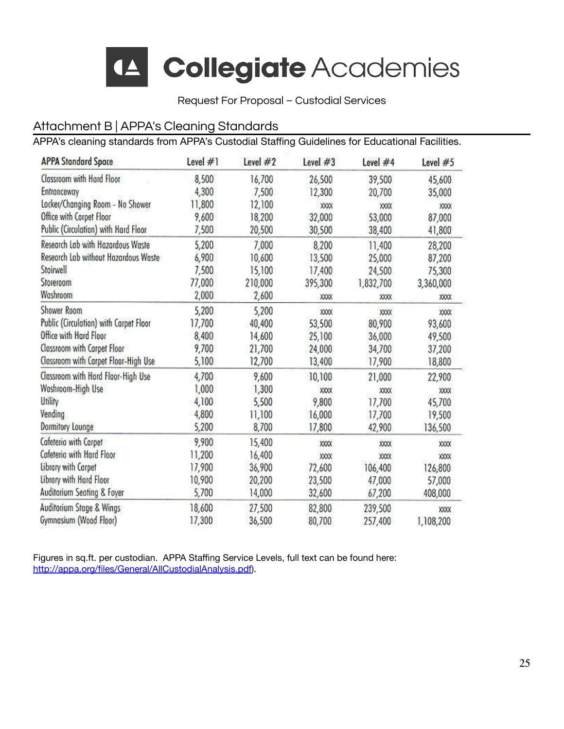Request For Proposal – Custodial Services

## Attachment B | APPA's Cleaning Standards

APPA's cleaning standards from APPA's Custodial Staffing Guidelines for Educational Facilities.

| <b>APPA Standard Space</b>             | Level $#1$ | Level $#2$ | Level $#3$  | Level $#4$ | Level $#5$ |
|----------------------------------------|------------|------------|-------------|------------|------------|
| Classroom with Hard Floor              | 8,500      | 16,700     | 26,500      | 39,500     | 45,600     |
| Entranceway                            | 4,300      | 7,500      | 12,300      | 20,700     | 35,000     |
| Locker/Changing Room - No Shower       | 11,800     | 12,100     | XXXX        | XXX        | XXXX       |
| Office with Corpet Floor               | 9,600      | 18,200     | 32,000      | 53,000     | 87,000     |
| Public (Circulation) with Hard Floor   | 7,500      | 20,500     | 30,500      | 38,400     | 41,800     |
| Research Lab with Hazardous Waste      | 5,200      | 7,000      | 8,200       | 11,400     | 28,200     |
| Research Lab without Hazardous Waste   | 6,900      | 10,600     | 13,500      | 25,000     | 87,200     |
| Stoirwell                              | 7,500      | 15,100     | 17,400      | 24,500     | 75,300     |
| Storeroom                              | 77,000     | 210,000    | 395,300     | 1,832,700  | 3,360,000  |
| Washroom                               | 2,000      | 2,600      | XXXX        | XXXX       | XXXX       |
| Shower Room                            | 5,200      | 5,200      | <b>XXXX</b> | XXXX       | XXXX       |
| Public (Circulation) with Carpet Floor | 17,700     | 40,400     | 53,500      | 80,900     | 93,600     |
| Office with Hard Floor                 | 8,400      | 14,600     | 25,100      | 36,000     | 49,500     |
| Classroom with Carpet Floor            | 9,700      | 21,700     | 24,000      | 34,700     | 37,200     |
| Classroom with Corpet Floor-High Use   | 5,100      | 12,700     | 13,400      | 17,900     | 18,800     |
| Classroom with Hord Floor-High Use     | 4,700      | 9,600      | 10,100      | 21,000     | 22,900     |
| Woshroom-High Use                      | 1,000      | 1,300      | XXXX        | XXXX       | XXXX       |
| Utility                                | 4,100      | 5,500      | 9,800       | 17,700     | 45,700     |
| Vending                                | 4,800      | 11,100     | 16,000      | 17,700     | 19,500     |
| Dormitory Lounge                       | 5,200      | 8,700      | 17,800      | 42,900     | 136,500    |
| Cafeteria with Carpet                  | 9,900      | 15,400     | XXXX        | XXXX       | XXXX       |
| Cafeteria with Hard Floor              | 11,200     | 16,400     | XXX         | XXXX       | XXXX       |
| Library with Corpet                    | 17,900     | 36,900     | 72,600      | 106,400    | 126,800    |
| Library with Hard Floor                | 10,900     | 20,200     | 23,500      | 47,000     | 57,000     |
| Auditorium Seating & Foyer             | 5,700      | 14,000     | 32,600      | 67,200     | 408,000    |
| Auditorium Stage & Wings               | 18,600     | 27,500     | 82,800      | 239,500    | XXXX       |
| Gymnasium (Wood Floor)                 | 17,300     | 36,500     | 80,700      | 257,400    | 1,108,200  |

Figures in sq.ft. per custodian. APPA Staffing Service Levels, full text can be found here: <http://appa.org/files/General/AllCustodialAnalysis.pdf>).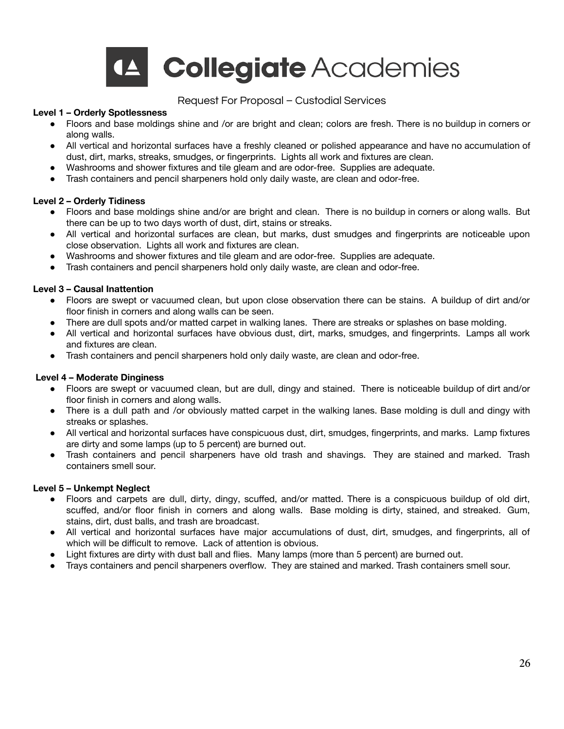

#### **Level 1 – Orderly Spotlessness**

- Floors and base moldings shine and /or are bright and clean; colors are fresh. There is no buildup in corners or along walls.
- All vertical and horizontal surfaces have a freshly cleaned or polished appearance and have no accumulation of dust, dirt, marks, streaks, smudges, or fingerprints. Lights all work and fixtures are clean.
- Washrooms and shower fixtures and tile gleam and are odor-free. Supplies are adequate.
- Trash containers and pencil sharpeners hold only daily waste, are clean and odor-free.

#### **Level 2 – Orderly Tidiness**

- Floors and base moldings shine and/or are bright and clean. There is no buildup in corners or along walls. But there can be up to two days worth of dust, dirt, stains or streaks.
- All vertical and horizontal surfaces are clean, but marks, dust smudges and fingerprints are noticeable upon close observation. Lights all work and fixtures are clean.
- Washrooms and shower fixtures and tile gleam and are odor-free. Supplies are adequate.
- Trash containers and pencil sharpeners hold only daily waste, are clean and odor-free.

#### **Level 3 – Causal Inattention**

- Floors are swept or vacuumed clean, but upon close observation there can be stains. A buildup of dirt and/or floor finish in corners and along walls can be seen.
- There are dull spots and/or matted carpet in walking lanes. There are streaks or splashes on base molding.
- All vertical and horizontal surfaces have obvious dust, dirt, marks, smudges, and fingerprints. Lamps all work and fixtures are clean.
- Trash containers and pencil sharpeners hold only daily waste, are clean and odor-free.

#### **Level 4 – Moderate Dinginess**

- Floors are swept or vacuumed clean, but are dull, dingy and stained. There is noticeable buildup of dirt and/or floor finish in corners and along walls.
- There is a dull path and /or obviously matted carpet in the walking lanes. Base molding is dull and dingy with streaks or splashes.
- All vertical and horizontal surfaces have conspicuous dust, dirt, smudges, fingerprints, and marks. Lamp fixtures are dirty and some lamps (up to 5 percent) are burned out.
- Trash containers and pencil sharpeners have old trash and shavings. They are stained and marked. Trash containers smell sour.

#### **Level 5 – Unkempt Neglect**

- Floors and carpets are dull, dirty, dingy, scuffed, and/or matted. There is a conspicuous buildup of old dirt, scuffed, and/or floor finish in corners and along walls. Base molding is dirty, stained, and streaked. Gum, stains, dirt, dust balls, and trash are broadcast.
- All vertical and horizontal surfaces have major accumulations of dust, dirt, smudges, and fingerprints, all of which will be difficult to remove. Lack of attention is obvious.
- Light fixtures are dirty with dust ball and flies. Many lamps (more than 5 percent) are burned out.
- Trays containers and pencil sharpeners overflow. They are stained and marked. Trash containers smell sour.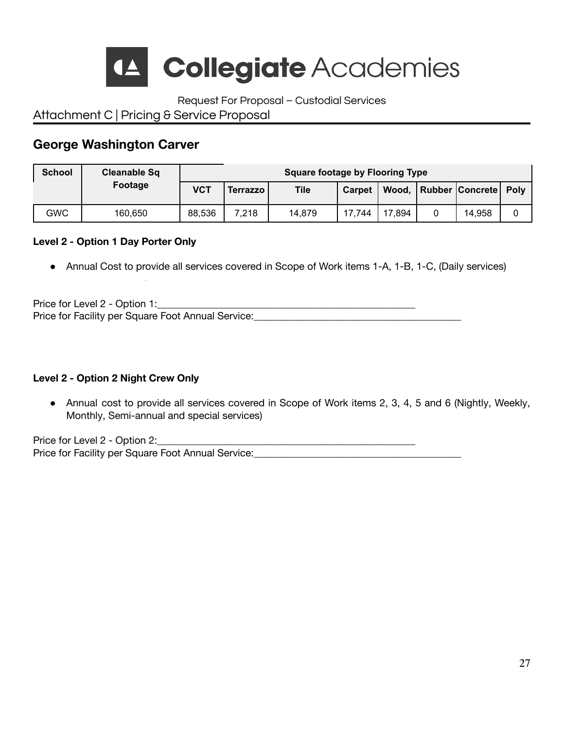## **Collegiate** Academies  $\Delta$

## Request For Proposal – Custodial Services

## Attachment C | Pricing & Service Proposal

## **George Washington Carver**

| <b>School</b> | <b>Cleanable Sq</b> | <b>Square footage by Flooring Type</b> |                 |             |               |        |  |                             |   |  |
|---------------|---------------------|----------------------------------------|-----------------|-------------|---------------|--------|--|-----------------------------|---|--|
|               | Footage             | <b>VCT</b>                             | <b>Terrazzo</b> | <b>Tile</b> | <b>Carpet</b> | Wood,  |  | <b>Rubber Concrete Poly</b> |   |  |
| GWC           | 160,650             | 88,536                                 | 7,218           | 14,879      | 17.744        | 17,894 |  | 14,958                      | 0 |  |

## **Level 2 - Option 1 Day Porter Only**

● Annual Cost to provide all services covered in Scope of Work items 1-A, 1-B, 1-C, (Daily services)

Price for Level 2 - Option 1:\_\_\_\_\_\_\_\_\_\_\_\_\_\_\_\_\_\_\_\_\_\_\_\_\_\_\_\_\_\_\_\_\_\_\_\_\_\_\_\_\_\_\_\_\_\_\_\_\_\_\_ Price for Facility per Square Foot Annual Service:\_\_\_\_\_\_\_\_\_\_\_\_\_\_\_\_\_\_\_\_\_\_\_\_\_\_\_\_\_\_

## **Level 2 - Option 2 Night Crew Only**

● Annual cost to provide all services covered in Scope of Work items 2, 3, 4, 5 and 6 (Nightly, Weekly, Monthly, Semi-annual and special services)

Price for Level 2 - Option 2:\_\_\_\_\_\_\_\_\_\_\_\_\_\_\_\_\_\_\_\_\_\_\_\_\_\_\_\_\_\_\_\_\_\_\_\_\_\_\_\_\_\_\_\_\_\_\_\_\_\_\_ Price for Facility per Square Foot Annual Service:\_\_\_\_\_\_\_\_\_\_\_\_\_\_\_\_\_\_\_\_\_\_\_\_\_\_\_\_\_\_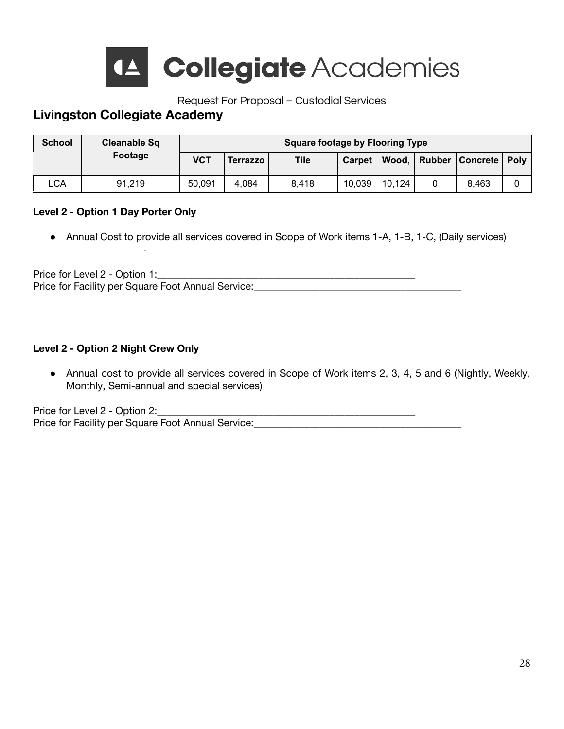Request For Proposal – Custodial Services

## **Livingston Collegiate Academy**

| <b>School</b> | <b>Cleanable Sq</b> |            | <b>Square footage by Flooring Type</b> |       |               |        |   |                            |  |  |  |
|---------------|---------------------|------------|----------------------------------------|-------|---------------|--------|---|----------------------------|--|--|--|
|               | Footage             | <b>VCT</b> | <b>Terrazzo</b>                        | Tile  | <b>Carpet</b> |        |   | Wood, Rubber Concrete Poly |  |  |  |
| LCA           | 91,219              | 50,091     | 4,084                                  | 8,418 | 10,039        | 10,124 | 0 | 8,463                      |  |  |  |

## **Level 2 - Option 1 Day Porter Only**

● Annual Cost to provide all services covered in Scope of Work items 1-A, 1-B, 1-C, (Daily services)

Price for Level 2 - Option 1:\_\_\_\_\_\_\_\_\_\_\_\_\_\_\_\_\_\_\_\_\_\_\_\_\_\_\_\_\_\_\_\_\_\_\_\_\_\_\_\_\_\_\_\_\_\_\_\_\_\_\_ Price for Facility per Square Foot Annual Service:\_\_\_\_\_\_\_\_\_\_\_\_\_\_\_\_\_\_\_\_\_\_\_\_\_\_\_\_\_\_

## **Level 2 - Option 2 Night Crew Only**

● Annual cost to provide all services covered in Scope of Work items 2, 3, 4, 5 and 6 (Nightly, Weekly, Monthly, Semi-annual and special services)

Price for Level 2 - Option 2:\_\_\_\_\_\_\_\_\_\_\_\_\_\_\_\_\_\_\_\_\_\_\_\_\_\_\_\_\_\_\_\_\_\_\_\_\_\_\_\_\_\_\_\_\_\_\_\_\_\_\_ Price for Facility per Square Foot Annual Service:\_\_\_\_\_\_\_\_\_\_\_\_\_\_\_\_\_\_\_\_\_\_\_\_\_\_\_\_\_\_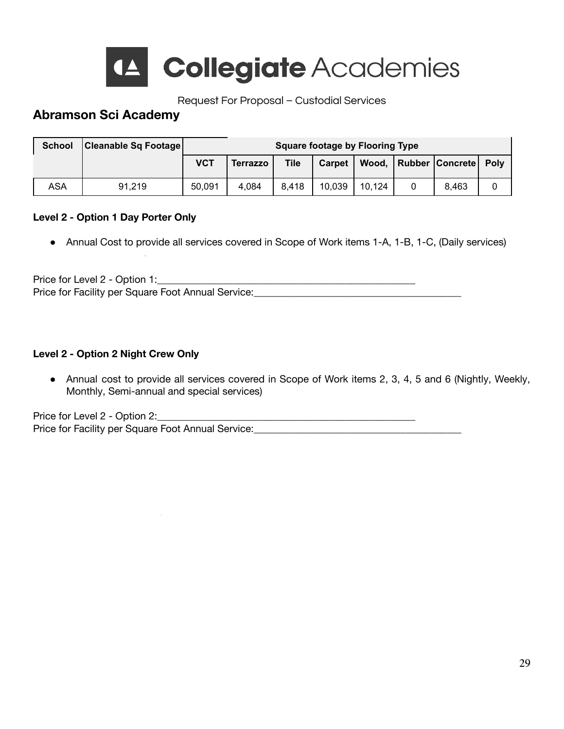Request For Proposal – Custodial Services

## **Abramson Sci Academy**

| <b>School</b> | <b>Cleanable Sq Footage</b> |            |                 |             | <b>Square footage by Flooring Type</b> |        |                 |             |
|---------------|-----------------------------|------------|-----------------|-------------|----------------------------------------|--------|-----------------|-------------|
|               |                             | <b>VCT</b> | <b>Terrazzo</b> | <b>Tile</b> | <b>Carpet</b>                          | Wood,  | Rubber Concrete | <b>Poly</b> |
| ASA           | 91,219                      | 50,091     | 4.084           | 8.418       | 10,039                                 | 10,124 | 8,463           |             |

## **Level 2 - Option 1 Day Porter Only**

● Annual Cost to provide all services covered in Scope of Work items 1-A, 1-B, 1-C, (Daily services)

Price for Level 2 - Option 1:\_\_\_\_\_\_\_\_\_\_\_\_\_\_\_\_\_\_\_\_\_\_\_\_\_\_\_\_\_\_\_\_\_\_\_\_\_\_\_\_\_\_\_\_\_\_\_\_\_\_\_ Price for Facility per Square Foot Annual Service:\_\_\_\_\_\_\_\_\_\_\_\_\_\_\_\_\_\_\_\_\_\_\_\_\_\_\_\_\_\_

## **Level 2 - Option 2 Night Crew Only**

● Annual cost to provide all services covered in Scope of Work items 2, 3, 4, 5 and 6 (Nightly, Weekly, Monthly, Semi-annual and special services)

Price for Level 2 - Option 2:\_\_\_\_\_\_\_\_\_\_\_\_\_\_\_\_\_\_\_\_\_\_\_\_\_\_\_\_\_\_\_\_\_\_\_\_\_\_\_\_\_\_\_\_\_\_\_\_\_\_\_ Price for Facility per Square Foot Annual Service: \_\_\_\_\_\_\_\_\_\_\_\_\_\_\_\_\_\_\_\_\_\_\_\_\_\_\_\_\_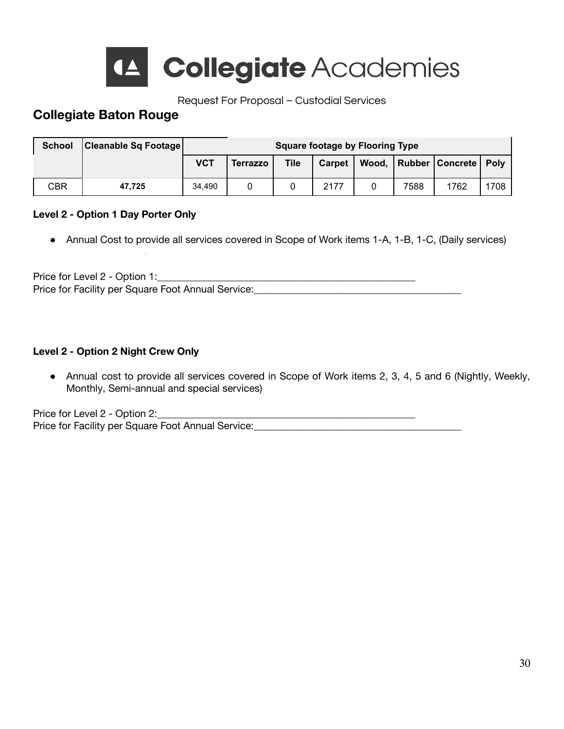Request For Proposal – Custodial Services

## **Collegiate Baton Rouge**

| <b>School</b> | <b>Cleanable Sq Footage</b> |            | <b>Square footage by Flooring Type</b> |             |               |  |      |                                  |      |
|---------------|-----------------------------|------------|----------------------------------------|-------------|---------------|--|------|----------------------------------|------|
|               |                             | <b>VCT</b> | <b>Terrazzo</b>                        | <b>Tile</b> | <b>Carpet</b> |  |      | Wood,   Rubber   Concrete   Poly |      |
| CBR           | 47.725                      | 34.490     |                                        |             | 2177          |  | 7588 | 1762                             | 1708 |

## **Level 2 - Option 1 Day Porter Only**

● Annual Cost to provide all services covered in Scope of Work items 1-A, 1-B, 1-C, (Daily services)

Price for Level 2 - Option 1:\_\_\_\_\_\_\_\_\_\_\_\_\_\_\_\_\_\_\_\_\_\_\_\_\_\_\_\_\_\_\_\_\_\_\_\_\_\_\_\_\_\_\_\_\_\_\_\_\_\_\_ Price for Facility per Square Foot Annual Service: \_\_\_\_\_\_\_\_\_\_\_\_\_\_\_\_\_\_\_\_\_\_\_\_\_\_\_\_\_

## **Level 2 - Option 2 Night Crew Only**

● Annual cost to provide all services covered in Scope of Work items 2, 3, 4, 5 and 6 (Nightly, Weekly, Monthly, Semi-annual and special services)

Price for Level 2 - Option 2:\_\_\_\_\_\_\_\_\_\_\_\_\_\_\_\_\_\_\_\_\_\_\_\_\_\_\_\_\_\_\_\_\_\_\_\_\_\_\_\_\_\_\_\_\_\_\_\_\_\_\_ Price for Facility per Square Foot Annual Service: \_\_\_\_\_\_\_\_\_\_\_\_\_\_\_\_\_\_\_\_\_\_\_\_\_\_\_\_\_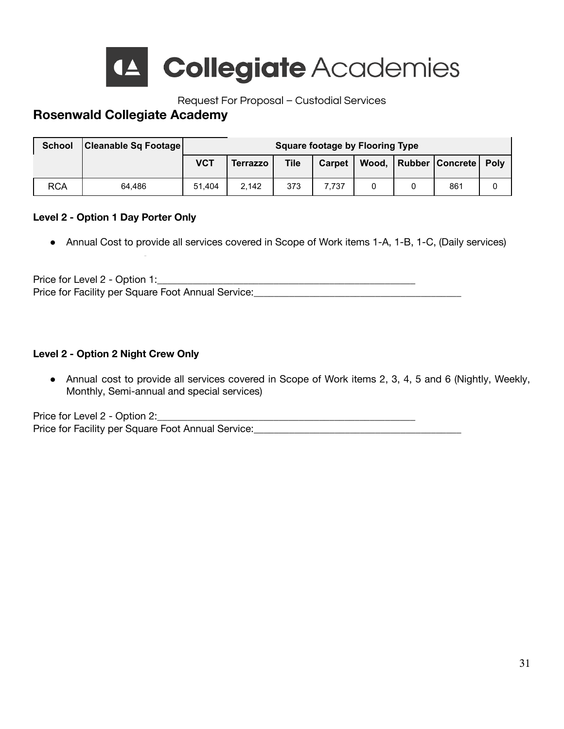Request For Proposal – Custodial Services

## **Rosenwald Collegiate Academy**

| <b>School</b> | <b>Cleanable Sq Footage</b> |            | <b>Square footage by Flooring Type</b> |             |               |  |  |                                  |  |
|---------------|-----------------------------|------------|----------------------------------------|-------------|---------------|--|--|----------------------------------|--|
|               |                             | <b>VCT</b> | Terrazzo                               | <b>Tile</b> | <b>Carpet</b> |  |  | Wood,   Rubber   Concrete   Poly |  |
| <b>RCA</b>    | 64.486                      | 51.404     | 2.142                                  | 373         | 7.737         |  |  | 861                              |  |

## **Level 2 - Option 1 Day Porter Only**

● Annual Cost to provide all services covered in Scope of Work items 1-A, 1-B, 1-C, (Daily services)

Price for Level 2 - Option 1:\_\_\_\_\_\_\_\_\_\_\_\_\_\_\_\_\_\_\_\_\_\_\_\_\_\_\_\_\_\_\_\_\_\_\_\_\_\_\_\_\_\_\_\_\_\_\_\_\_\_\_ Price for Facility per Square Foot Annual Service:\_\_\_\_\_\_\_\_\_\_\_\_\_\_\_\_\_\_\_\_\_\_\_\_\_\_\_\_\_\_

## **Level 2 - Option 2 Night Crew Only**

● Annual cost to provide all services covered in Scope of Work items 2, 3, 4, 5 and 6 (Nightly, Weekly, Monthly, Semi-annual and special services)

Price for Level 2 - Option 2:\_\_\_\_\_\_\_\_\_\_\_\_\_\_\_\_\_\_\_\_\_\_\_\_\_\_\_\_\_\_\_\_\_\_\_\_\_\_\_\_\_\_\_\_\_\_\_\_\_\_\_ Price for Facility per Square Foot Annual Service: \_\_\_\_\_\_\_\_\_\_\_\_\_\_\_\_\_\_\_\_\_\_\_\_\_\_\_\_\_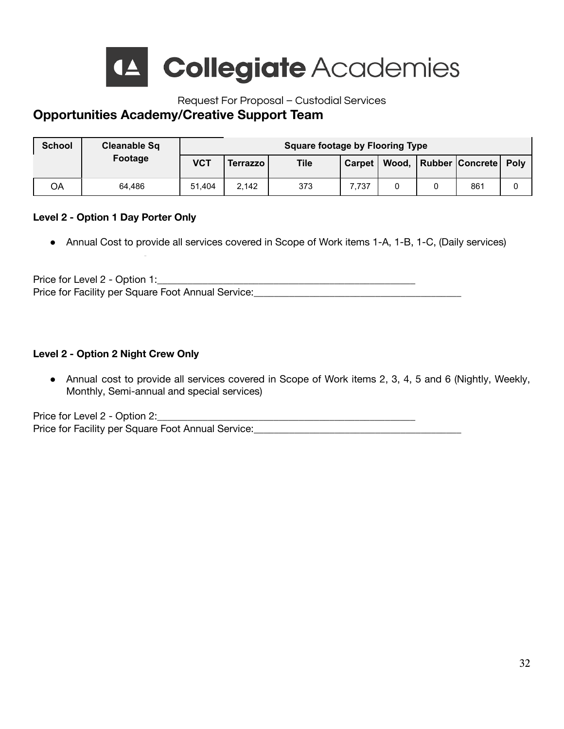Request For Proposal – Custodial Services

## **Opportunities Academy/Creative Support Team**

| <b>School</b> | <b>Cleanable Sq</b> | <b>Square footage by Flooring Type</b> |                 |      |            |  |  |                            |  |
|---------------|---------------------|----------------------------------------|-----------------|------|------------|--|--|----------------------------|--|
|               | Footage             | <b>VCT</b>                             | <b>Terrazzo</b> | Tile | ∣ Carpet I |  |  | Wood, Rubber Concrete Poly |  |
| OA            | 64.486              | 51.404                                 | 2.142           | 373  | 7.737      |  |  | 861                        |  |

## **Level 2 - Option 1 Day Porter Only**

● Annual Cost to provide all services covered in Scope of Work items 1-A, 1-B, 1-C, (Daily services)

Price for Level 2 - Option 1:\_\_\_\_\_\_\_\_\_\_\_\_\_\_\_\_\_\_\_\_\_\_\_\_\_\_\_\_\_\_\_\_\_\_\_\_\_\_\_\_\_\_\_\_\_\_\_\_\_\_\_ Price for Facility per Square Foot Annual Service:\_\_\_\_\_\_\_\_\_\_\_\_\_\_\_\_\_\_\_\_\_\_\_\_\_\_\_\_\_\_

## **Level 2 - Option 2 Night Crew Only**

● Annual cost to provide all services covered in Scope of Work items 2, 3, 4, 5 and 6 (Nightly, Weekly, Monthly, Semi-annual and special services)

Price for Level 2 - Option 2: Price for Facility per Square Foot Annual Service: \_\_\_\_\_\_\_\_\_\_\_\_\_\_\_\_\_\_\_\_\_\_\_\_\_\_\_\_\_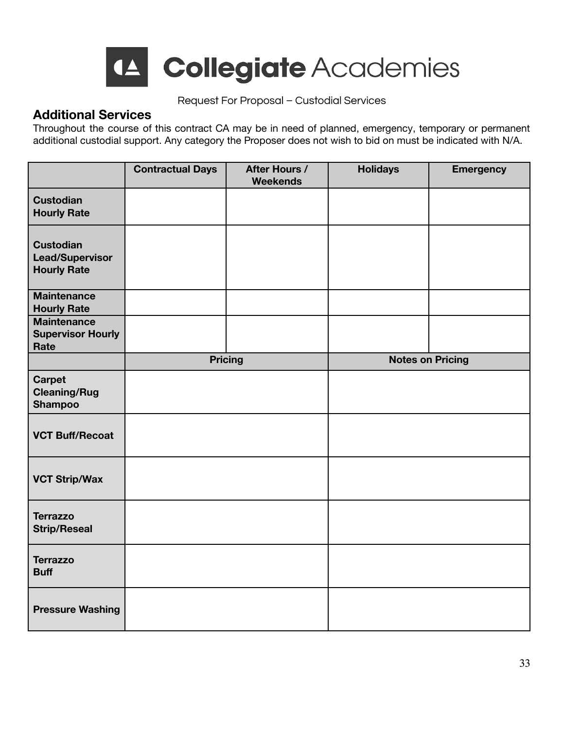

## **Additional Services**

Throughout the course of this contract CA may be in need of planned, emergency, temporary or permanent additional custodial support. Any category the Proposer does not wish to bid on must be indicated with N/A.

|                                                           | <b>Contractual Days</b> | <b>After Hours /</b><br><b>Weekends</b> | <b>Holidays</b> | <b>Emergency</b>        |
|-----------------------------------------------------------|-------------------------|-----------------------------------------|-----------------|-------------------------|
| <b>Custodian</b><br><b>Hourly Rate</b>                    |                         |                                         |                 |                         |
| <b>Custodian</b><br>Lead/Supervisor<br><b>Hourly Rate</b> |                         |                                         |                 |                         |
| <b>Maintenance</b><br><b>Hourly Rate</b>                  |                         |                                         |                 |                         |
| <b>Maintenance</b><br><b>Supervisor Hourly</b><br>Rate    |                         |                                         |                 |                         |
|                                                           |                         | <b>Pricing</b>                          |                 | <b>Notes on Pricing</b> |
| <b>Carpet</b><br><b>Cleaning/Rug</b><br><b>Shampoo</b>    |                         |                                         |                 |                         |
| <b>VCT Buff/Recoat</b>                                    |                         |                                         |                 |                         |
| <b>VCT Strip/Wax</b>                                      |                         |                                         |                 |                         |
| <b>Terrazzo</b><br><b>Strip/Reseal</b>                    |                         |                                         |                 |                         |
| <b>Terrazzo</b><br><b>Buff</b>                            |                         |                                         |                 |                         |
| <b>Pressure Washing</b>                                   |                         |                                         |                 |                         |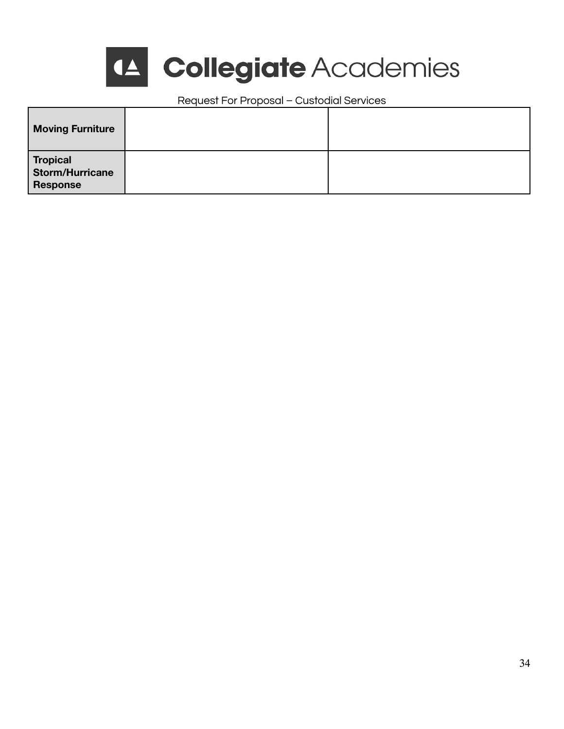

| <b>Moving Furniture</b>                          |  |
|--------------------------------------------------|--|
| Tropical<br>  Storm/Hurricane<br><b>Response</b> |  |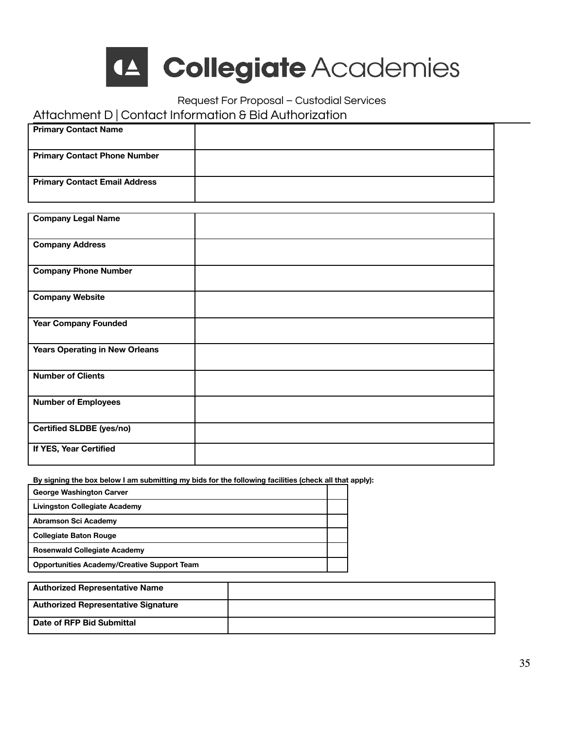## Request For Proposal – Custodial Services

## Attachment D | Contact Information & Bid Authorization

| <b>Primary Contact Name</b>          |  |
|--------------------------------------|--|
| <b>Primary Contact Phone Number</b>  |  |
| <b>Primary Contact Email Address</b> |  |

| <b>Company Legal Name</b>             |  |
|---------------------------------------|--|
| <b>Company Address</b>                |  |
| <b>Company Phone Number</b>           |  |
| <b>Company Website</b>                |  |
| <b>Year Company Founded</b>           |  |
| <b>Years Operating in New Orleans</b> |  |
| <b>Number of Clients</b>              |  |
| <b>Number of Employees</b>            |  |
| <b>Certified SLDBE (yes/no)</b>       |  |
| If YES, Year Certified                |  |

By signing the box below I am submitting my bids for the following facilities (check all that apply):

| <b>George Washington Carver</b>                    |  |
|----------------------------------------------------|--|
| Livingston Collegiate Academy                      |  |
| Abramson Sci Academy                               |  |
| <b>Collegiate Baton Rouge</b>                      |  |
| <b>Rosenwald Collegiate Academy</b>                |  |
| <b>Opportunities Academy/Creative Support Team</b> |  |
|                                                    |  |

| <b>Authorized Representative Name</b>      |  |
|--------------------------------------------|--|
| <b>Authorized Representative Signature</b> |  |
| Date of RFP Bid Submittal                  |  |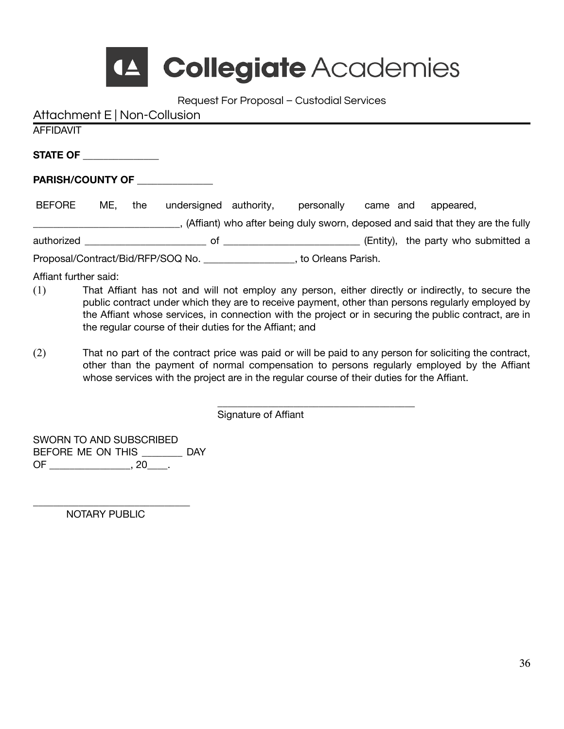Request For Proposal – Custodial Services

| Attachment E   Non-Collusion |  |
|------------------------------|--|
|------------------------------|--|

AFFIDAVIT

## **STATE OF** \_\_\_\_\_\_\_\_\_\_\_\_\_\_\_

## **PARISH/COUNTY OF** \_\_\_\_\_\_\_\_\_\_\_\_\_\_\_

BEFORE ME, the undersigned authority, personally came and appeared,

\_\_\_\_\_\_\_\_\_\_\_\_\_\_\_\_\_\_\_\_\_\_\_\_\_\_\_\_\_, (Affiant) who after being duly sworn, deposed and said that they are the fully

authorized \_\_\_\_\_\_\_\_\_\_\_\_\_\_\_\_\_\_\_\_\_\_\_\_ of \_\_\_\_\_\_\_\_\_\_\_\_\_\_\_\_\_\_\_\_\_\_\_\_\_\_\_ (Entity), the party who submitted a

Proposal/Contract/Bid/RFP/SOQ No. \_\_\_\_\_\_\_\_\_\_\_\_\_\_\_\_\_\_, to Orleans Parish.

Affiant further said:

- (1) That Affiant has not and will not employ any person, either directly or indirectly, to secure the public contract under which they are to receive payment, other than persons regularly employed by the Affiant whose services, in connection with the project or in securing the public contract, are in the regular course of their duties for the Affiant; and
- (2) That no part of the contract price was paid or will be paid to any person for soliciting the contract, other than the payment of normal compensation to persons regularly employed by the Affiant whose services with the project are in the regular course of their duties for the Affiant.

\_\_\_\_\_\_\_\_\_\_\_\_\_\_\_\_\_\_\_\_\_\_\_\_\_\_\_\_\_\_\_\_\_\_\_\_\_\_\_

Signature of Affiant

SWORN TO AND SUBSCRIBED BEFORE ME ON THIS \_\_\_\_\_\_\_\_ DAY OF \_\_\_\_\_\_\_\_\_\_\_\_\_\_\_\_, 20\_\_\_\_.

\_\_\_\_\_\_\_\_\_\_\_\_\_\_\_\_\_\_\_\_\_\_\_\_\_\_\_\_\_\_\_ NOTARY PUBLIC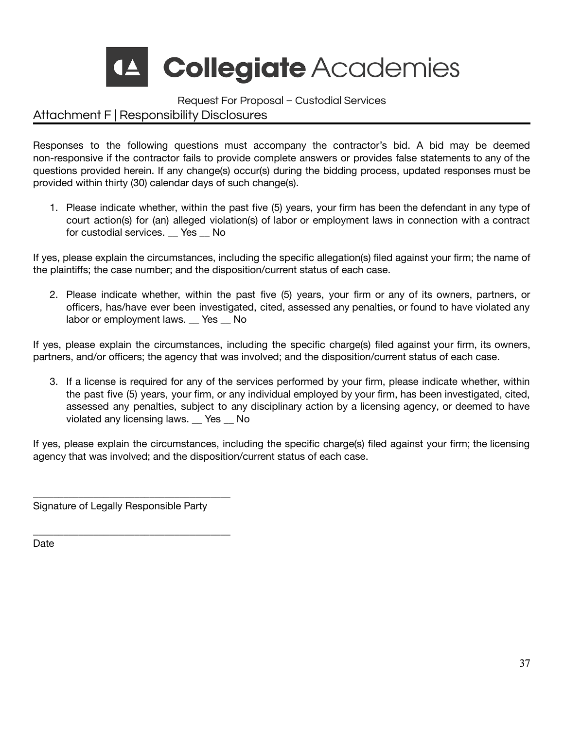## Request For Proposal – Custodial Services

## Attachment F | Responsibility Disclosures

Responses to the following questions must accompany the contractor's bid. A bid may be deemed non-responsive if the contractor fails to provide complete answers or provides false statements to any of the questions provided herein. If any change(s) occur(s) during the bidding process, updated responses must be provided within thirty (30) calendar days of such change(s).

1. Please indicate whether, within the past five (5) years, your firm has been the defendant in any type of court action(s) for (an) alleged violation(s) of labor or employment laws in connection with a contract for custodial services. Yes No

If yes, please explain the circumstances, including the specific allegation(s) filed against your firm; the name of the plaintiffs; the case number; and the disposition/current status of each case.

2. Please indicate whether, within the past five (5) years, your firm or any of its owners, partners, or officers, has/have ever been investigated, cited, assessed any penalties, or found to have violated any labor or employment laws. Yes No

If yes, please explain the circumstances, including the specific charge(s) filed against your firm, its owners, partners, and/or officers; the agency that was involved; and the disposition/current status of each case.

3. If a license is required for any of the services performed by your firm, please indicate whether, within the past five (5) years, your firm, or any individual employed by your firm, has been investigated, cited, assessed any penalties, subject to any disciplinary action by a licensing agency, or deemed to have violated any licensing laws. \_\_ Yes \_\_ No

If yes, please explain the circumstances, including the specific charge(s) filed against your firm; the licensing agency that was involved; and the disposition/current status of each case.

Signature of Legally Responsible Party

\_\_\_\_\_\_\_\_\_\_\_\_\_\_\_\_\_\_\_\_\_\_\_\_\_\_\_\_\_\_\_\_\_\_\_\_\_\_\_

\_\_\_\_\_\_\_\_\_\_\_\_\_\_\_\_\_\_\_\_\_\_\_\_\_\_\_\_\_\_\_\_\_\_\_\_\_\_\_

Date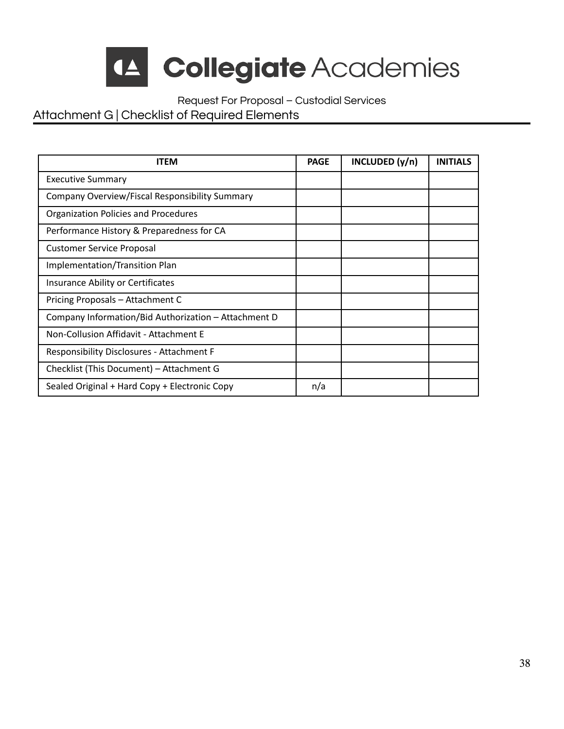Request For Proposal – Custodial Services

## Attachment G | Checklist of Required Elements

| <b>ITEM</b>                                          | <b>PAGE</b> | INCLUDED (y/n) | <b>INITIALS</b> |
|------------------------------------------------------|-------------|----------------|-----------------|
| <b>Executive Summary</b>                             |             |                |                 |
| Company Overview/Fiscal Responsibility Summary       |             |                |                 |
| Organization Policies and Procedures                 |             |                |                 |
| Performance History & Preparedness for CA            |             |                |                 |
| Customer Service Proposal                            |             |                |                 |
| Implementation/Transition Plan                       |             |                |                 |
| Insurance Ability or Certificates                    |             |                |                 |
| Pricing Proposals - Attachment C                     |             |                |                 |
| Company Information/Bid Authorization - Attachment D |             |                |                 |
| Non-Collusion Affidavit - Attachment E               |             |                |                 |
| <b>Responsibility Disclosures - Attachment F</b>     |             |                |                 |
| Checklist (This Document) - Attachment G             |             |                |                 |
| Sealed Original + Hard Copy + Electronic Copy        | n/a         |                |                 |